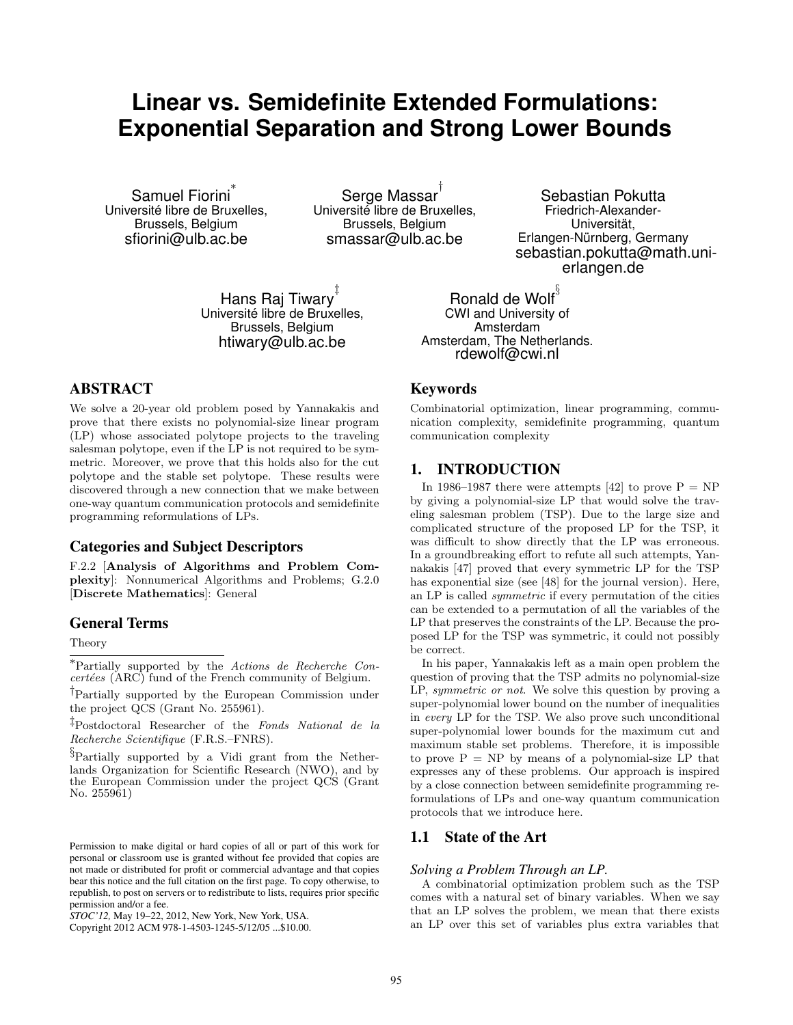# **Linear vs. Semidefinite Extended Formulations: Exponential Separation and Strong Lower Bounds**

Samuel Fiorini *∗* Université libre de Bruxelles, Brussels, Belgium sfiorini@ulb.ac.be

Serge Massar *†* Université libre de Bruxelles, Brussels, Belgium smassar@ulb.ac.be

Hans Raj Tiwary *‡* Université libre de Bruxelles, Brussels, Belgium htiwary@ulb.ac.be

## ABSTRACT

We solve a 20-year old problem posed by Yannakakis and prove that there exists no polynomial-size linear program (LP) whose associated polytope projects to the traveling salesman polytope, even if the LP is not required to be symmetric. Moreover, we prove that this holds also for the cut polytope and the stable set polytope. These results were discovered through a new connection that we make between one-way quantum communication protocols and semidefinite programming reformulations of LPs.

## Categories and Subject Descriptors

F.2.2 [**Analysis of Algorithms and Problem Complexity**]: Nonnumerical Algorithms and Problems; G.2.0 [**Discrete Mathematics**]: General

#### General Terms

## Theory

*∗*Partially supported by the *Actions de Recherche Concertées* (ARC) fund of the French community of Belgium.

*†*Partially supported by the European Commission under the project QCS (Grant No. 255961).

*‡*Postdoctoral Researcher of the *Fonds National de la Recherche Scientifique* (F.R.S.–FNRS).

*§*Partially supported by a Vidi grant from the Netherlands Organization for Scientific Research (NWO), and by the European Commission under the project QCS (Grant No. 255961)

Sebastian Pokutta Friedrich-Alexander-Universität, Erlangen-Nürnberg, Germany sebastian.pokutta@math.unierlangen.de

Ronald de Wolf *§* CWI and University of Amsterdam Amsterdam, The Netherlands. rdewolf@cwi.nl

#### Keywords

Combinatorial optimization, linear programming, communication complexity, semidefinite programming, quantum communication complexity

# 1. INTRODUCTION

In 1986–1987 there were attempts [42] to prove  $P = NP$ by giving a polynomial-size LP that would solve the traveling salesman problem (TSP). Due to the large size and complicated structure of the proposed LP for the TSP, it was difficult to show directly that the LP was erroneous. In a groundbreaking effort to refute all such attempts, Yannakakis [47] proved that every symmetric LP for the TSP has exponential size (see [48] for the journal version). Here, an LP is called *symmetric* if every permutation of the cities can be extended to a permutation of all the variables of the LP that preserves the constraints of the LP. Because the proposed LP for the TSP was symmetric, it could not possibly be correct.

In his paper, Yannakakis left as a main open problem the question of proving that the TSP admits no polynomial-size LP, *symmetric or not*. We solve this question by proving a super-polynomial lower bound on the number of inequalities in *every* LP for the TSP. We also prove such unconditional super-polynomial lower bounds for the maximum cut and maximum stable set problems. Therefore, it is impossible to prove  $P = NP$  by means of a polynomial-size LP that expresses any of these problems. Our approach is inspired by a close connection between semidefinite programming reformulations of LPs and one-way quantum communication protocols that we introduce here.

## 1.1 State of the Art

#### *Solving a Problem Through an LP.*

A combinatorial optimization problem such as the TSP comes with a natural set of binary variables. When we say that an LP solves the problem, we mean that there exists an LP over this set of variables plus extra variables that

Permission to make digital or hard copies of all or part of this work for personal or classroom use is granted without fee provided that copies are not made or distributed for profit or commercial advantage and that copies bear this notice and the full citation on the first page. To copy otherwise, to republish, to post on servers or to redistribute to lists, requires prior specific permission and/or a fee.

*STOC'12,* May 19–22, 2012, New York, New York, USA.

Copyright 2012 ACM 978-1-4503-1245-5/12/05 ...\$10.00.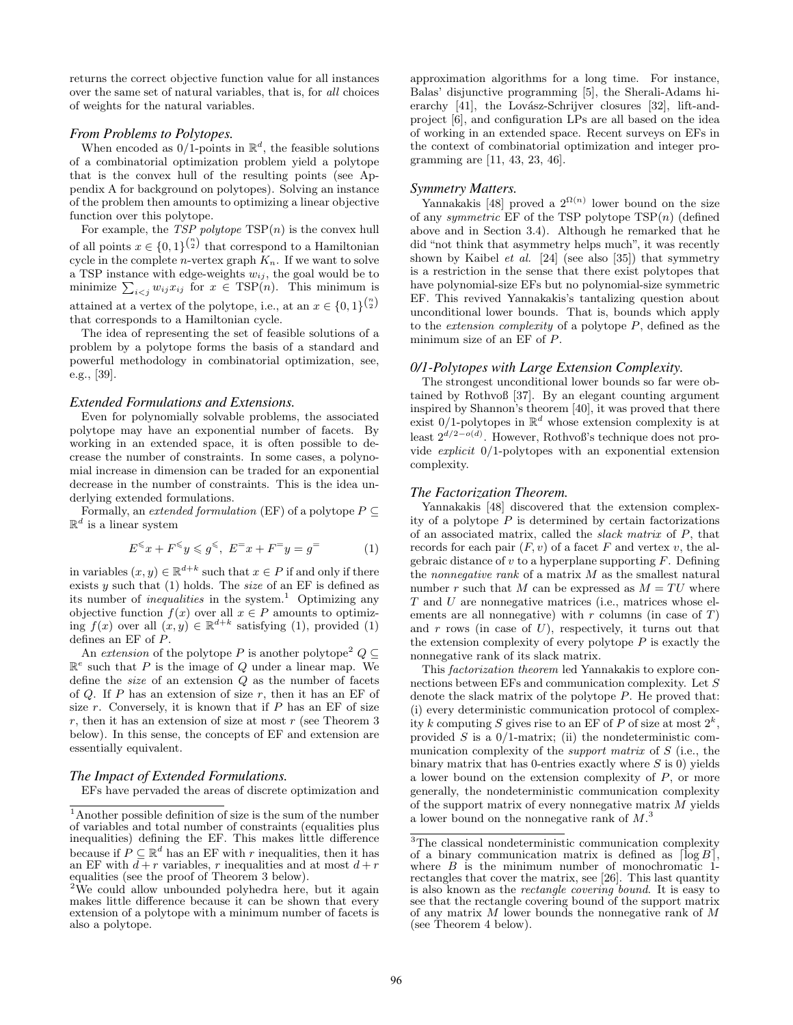returns the correct objective function value for all instances over the same set of natural variables, that is, for *all* choices of weights for the natural variables.

#### *From Problems to Polytopes.*

When encoded as  $0/1$ -points in  $\mathbb{R}^d$ , the feasible solutions of a combinatorial optimization problem yield a polytope that is the convex hull of the resulting points (see Appendix A for background on polytopes). Solving an instance of the problem then amounts to optimizing a linear objective function over this polytope.

For example, the *TSP polytope* TSP(*n*) is the convex hull of all points  $x \in \{0,1\}^{\binom{n}{2}}$  that correspond to a Hamiltonian cycle in the complete *n*-vertex graph  $K_n$ . If we want to solve a TSP instance with edge-weights  $w_{ij}$ , the goal would be to minimize  $\sum_{i \leq j} w_{ij} x_{ij}$  for  $x \in \text{TSP}(n)$ . This minimum is attained at a vertex of the polytope, i.e., at an  $x \in \{0, 1\}^{\binom{n}{2}}$ that corresponds to a Hamiltonian cycle.

The idea of representing the set of feasible solutions of a problem by a polytope forms the basis of a standard and powerful methodology in combinatorial optimization, see, e.g., [39].

#### *Extended Formulations and Extensions.*

Even for polynomially solvable problems, the associated polytope may have an exponential number of facets. By working in an extended space, it is often possible to decrease the number of constraints. In some cases, a polynomial increase in dimension can be traded for an exponential decrease in the number of constraints. This is the idea underlying extended formulations.

Formally, an *extended formulation* (EF) of a polytope  $P \subseteq$  $\mathbb{R}^d$  is a linear system

$$
E^{\leq x} + F^{\leq y} \leq g^{\leq}, \ E^{\equiv x} + F^{\equiv y} = g^{\equiv} \tag{1}
$$

in variables  $(x, y) \in \mathbb{R}^{d+k}$  such that  $x \in P$  if and only if there exists *y* such that (1) holds. The *size* of an EF is defined as its number of *inequalities* in the system.<sup>1</sup> Optimizing any objective function  $f(x)$  over all  $x \in P$  amounts to optimizing  $f(x)$  over all  $(x, y) \in \mathbb{R}^{d+k}$  satisfying (1), provided (1) defines an EF of *P*.

An *extension* of the polytope *P* is another polytope<sup>2</sup>  $Q \subseteq$ R *e* such that *P* is the image of *Q* under a linear map. We define the *size* of an extension *Q* as the number of facets of *Q*. If *P* has an extension of size *r*, then it has an EF of size *r*. Conversely, it is known that if *P* has an EF of size *r*, then it has an extension of size at most *r* (see Theorem 3 below). In this sense, the concepts of EF and extension are essentially equivalent.

#### *The Impact of Extended Formulations.*

EFs have pervaded the areas of discrete optimization and

approximation algorithms for a long time. For instance, Balas' disjunctive programming [5], the Sherali-Adams hierarchy  $[41]$ , the Lovász-Schrijver closures  $[32]$ , lift-andproject [6], and configuration LPs are all based on the idea of working in an extended space. Recent surveys on EFs in the context of combinatorial optimization and integer programming are [11, 43, 23, 46].

## *Symmetry Matters.*

Yannakakis [48] proved a  $2^{\Omega(n)}$  lower bound on the size of any *symmetric* EF of the TSP polytope TSP(*n*) (defined above and in Section 3.4). Although he remarked that he did "not think that asymmetry helps much", it was recently shown by Kaibel *et al.* [24] (see also [35]) that symmetry is a restriction in the sense that there exist polytopes that have polynomial-size EFs but no polynomial-size symmetric EF. This revived Yannakakis's tantalizing question about unconditional lower bounds. That is, bounds which apply to the *extension complexity* of a polytope *P*, defined as the minimum size of an EF of *P*.

#### *0/1-Polytopes with Large Extension Complexity.*

The strongest unconditional lower bounds so far were obtained by Rothvoß [37]. By an elegant counting argument inspired by Shannon's theorem [40], it was proved that there exist  $0/1$ -polytopes in  $\mathbb{R}^d$  whose extension complexity is at least 2*d/*2*−o*(*d*) . However, Rothvoß's technique does not provide *explicit* 0/1-polytopes with an exponential extension complexity.

#### *The Factorization Theorem.*

Yannakakis [48] discovered that the extension complexity of a polytope *P* is determined by certain factorizations of an associated matrix, called the *slack matrix* of *P*, that records for each pair  $(F, v)$  of a facet  $F$  and vertex  $v$ , the algebraic distance of *v* to a hyperplane supporting *F*. Defining the *nonnegative rank* of a matrix *M* as the smallest natural number *r* such that *M* can be expressed as  $M = TU$  where *T* and *U* are nonnegative matrices (i.e., matrices whose elements are all nonnegative) with *r* columns (in case of *T*) and *r* rows (in case of *U*), respectively, it turns out that the extension complexity of every polytope *P* is exactly the nonnegative rank of its slack matrix.

This *factorization theorem* led Yannakakis to explore connections between EFs and communication complexity. Let *S* denote the slack matrix of the polytope *P*. He proved that: (i) every deterministic communication protocol of complexity *k* computing *S* gives rise to an EF of *P* of size at most  $2^k$ , provided *S* is a 0/1-matrix; (ii) the nondeterministic communication complexity of the *support matrix* of *S* (i.e., the binary matrix that has 0-entries exactly where *S* is 0) yields a lower bound on the extension complexity of *P*, or more generally, the nondeterministic communication complexity of the support matrix of every nonnegative matrix *M* yields a lower bound on the nonnegative rank of *M*. 3

<sup>1</sup>Another possible definition of size is the sum of the number of variables and total number of constraints (equalities plus inequalities) defining the EF. This makes little difference because if  $P \subseteq \mathbb{R}^d$  has an EF with  $r$  inequalities, then it has an EF with  $\overline{d+r}$  variables, *r* inequalities and at most  $d+r$ equalities (see the proof of Theorem 3 below).

<sup>&</sup>lt;sup>2</sup>We could allow unbounded polyhedra here, but it again makes little difference because it can be shown that every extension of a polytope with a minimum number of facets is also a polytope.

<sup>&</sup>lt;sup>3</sup>The classical nondeterministic communication complexity of a binary communication matrix is defined as  $\lceil \log B \rceil$ , where *B* is the minimum number of monochromatic 1rectangles that cover the matrix, see [26]. This last quantity is also known as the *rectangle covering bound*. It is easy to see that the rectangle covering bound of the support matrix of any matrix *M* lower bounds the nonnegative rank of *M* (see Theorem 4 below).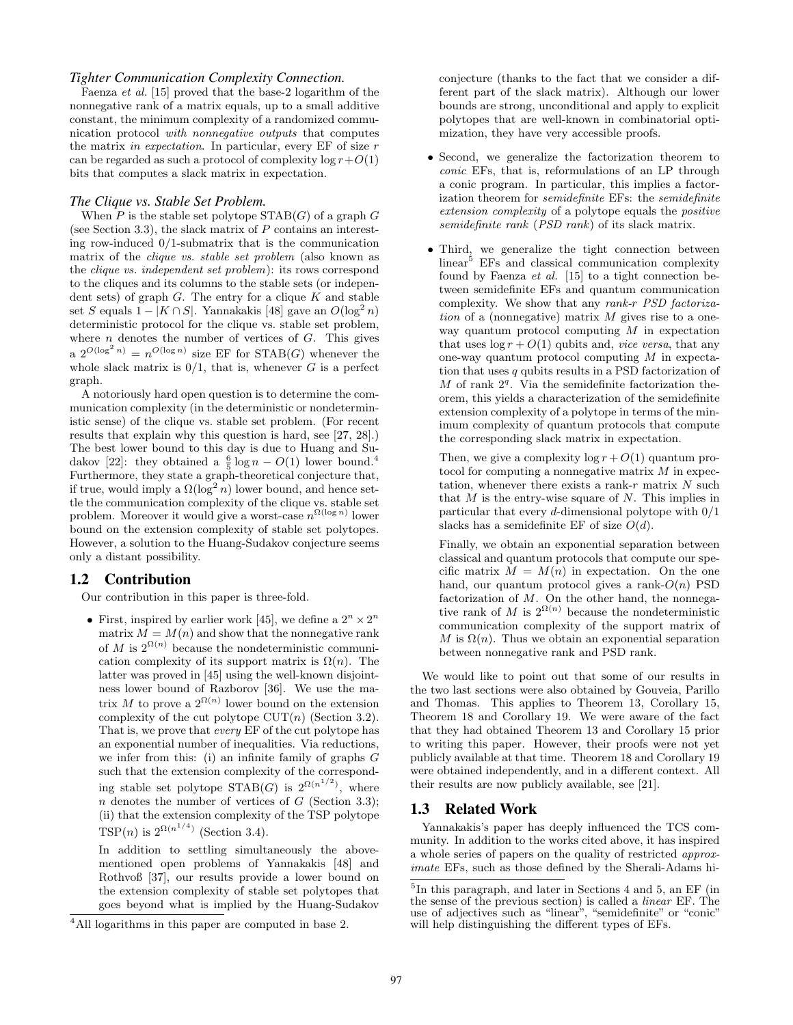#### *Tighter Communication Complexity Connection.*

Faenza *et al.* [15] proved that the base-2 logarithm of the nonnegative rank of a matrix equals, up to a small additive constant, the minimum complexity of a randomized communication protocol *with nonnegative outputs* that computes the matrix *in expectation*. In particular, every EF of size *r* can be regarded as such a protocol of complexity  $\log r + O(1)$ bits that computes a slack matrix in expectation.

#### *The Clique vs. Stable Set Problem.*

When  $P$  is the stable set polytope  $STAB(G)$  of a graph  $G$ (see Section 3.3), the slack matrix of *P* contains an interesting row-induced 0/1-submatrix that is the communication matrix of the *clique vs. stable set problem* (also known as the *clique vs. independent set problem*): its rows correspond to the cliques and its columns to the stable sets (or independent sets) of graph *G*. The entry for a clique *K* and stable set *S* equals  $1 - |K \cap S|$ . Yannakakis [48] gave an  $O(\log^2 n)$ deterministic protocol for the clique vs. stable set problem, where *n* denotes the number of vertices of *G*. This gives a  $2^{O(\log^2 n)} = n^{O(\log n)}$  size EF for STAB(*G*) whenever the whole slack matrix is  $0/1$ , that is, whenever *G* is a perfect graph.

A notoriously hard open question is to determine the communication complexity (in the deterministic or nondeterministic sense) of the clique vs. stable set problem. (For recent results that explain why this question is hard, see [27, 28].) The best lower bound to this day is due to Huang and Sudakov [22]: they obtained a  $\frac{6}{5} \log n - O(1)$  lower bound.<sup>4</sup> Furthermore, they state a graph-theoretical conjecture that, if true, would imply a  $\Omega(\log^2 n)$  lower bound, and hence settle the communication complexity of the clique vs. stable set problem. Moreover it would give a worst-case *n* Ω(log *n*) lower bound on the extension complexity of stable set polytopes. However, a solution to the Huang-Sudakov conjecture seems only a distant possibility.

## 1.2 Contribution

Our contribution in this paper is three-fold.

• First, inspired by earlier work [45], we define a  $2^n \times 2^n$ matrix  $\hat{M} = M(n)$  and show that the nonnegative rank of *M* is  $2^{\Omega(n)}$  because the nondeterministic communication complexity of its support matrix is  $\Omega(n)$ . The latter was proved in [45] using the well-known disjointness lower bound of Razborov [36]. We use the matrix *M* to prove a  $2^{\Omega(n)}$  lower bound on the extension complexity of the cut polytope CUT(*n*) (Section 3.2). That is, we prove that *every* EF of the cut polytope has an exponential number of inequalities. Via reductions, we infer from this: (i) an infinite family of graphs *G* such that the extension complexity of the corresponding stable set polytope  $STAB(G)$  is  $2^{\Omega(n^{1/2})}$ , where *n* denotes the number of vertices of *G* (Section 3.3); (ii) that the extension complexity of the TSP polytope TSP(*n*) is  $2^{\Omega(n^{1/4})}$  (Section 3.4).

In addition to settling simultaneously the abovementioned open problems of Yannakakis [48] and Rothvoß [37], our results provide a lower bound on the extension complexity of stable set polytopes that goes beyond what is implied by the Huang-Sudakov conjecture (thanks to the fact that we consider a different part of the slack matrix). Although our lower bounds are strong, unconditional and apply to explicit polytopes that are well-known in combinatorial optimization, they have very accessible proofs.

- Second, we generalize the factorization theorem to *conic* EFs, that is, reformulations of an LP through a conic program. In particular, this implies a factorization theorem for *semidefinite* EFs: the *semidefinite extension complexity* of a polytope equals the *positive semidefinite rank* (*PSD rank*) of its slack matrix.
- Third, we generalize the tight connection between  $linear<sup>5</sup>$  EFs and classical communication complexity found by Faenza *et al.* [15] to a tight connection between semidefinite EFs and quantum communication complexity. We show that any *rank-r PSD factorization* of a (nonnegative) matrix *M* gives rise to a oneway quantum protocol computing *M* in expectation that uses  $\log r + O(1)$  qubits and, *vice versa*, that any one-way quantum protocol computing *M* in expectation that uses *q* qubits results in a PSD factorization of  $M$  of rank  $2<sup>q</sup>$ . Via the semidefinite factorization theorem, this yields a characterization of the semidefinite extension complexity of a polytope in terms of the minimum complexity of quantum protocols that compute the corresponding slack matrix in expectation.

Then, we give a complexity  $\log r + O(1)$  quantum protocol for computing a nonnegative matrix *M* in expectation, whenever there exists a rank-*r* matrix *N* such that *M* is the entry-wise square of *N*. This implies in particular that every *d*-dimensional polytope with 0/1 slacks has a semidefinite EF of size *O*(*d*).

Finally, we obtain an exponential separation between classical and quantum protocols that compute our specific matrix  $M = M(n)$  in expectation. On the one hand, our quantum protocol gives a rank-*O*(*n*) PSD factorization of *M*. On the other hand, the nonnegative rank of *M* is  $2^{\Omega(n)}$  because the nondeterministic communication complexity of the support matrix of *M* is  $\Omega(n)$ . Thus we obtain an exponential separation between nonnegative rank and PSD rank.

We would like to point out that some of our results in the two last sections were also obtained by Gouveia, Parillo and Thomas. This applies to Theorem 13, Corollary 15, Theorem 18 and Corollary 19. We were aware of the fact that they had obtained Theorem 13 and Corollary 15 prior to writing this paper. However, their proofs were not yet publicly available at that time. Theorem 18 and Corollary 19 were obtained independently, and in a different context. All their results are now publicly available, see [21].

## 1.3 Related Work

Yannakakis's paper has deeply influenced the TCS community. In addition to the works cited above, it has inspired a whole series of papers on the quality of restricted *approximate* EFs, such as those defined by the Sherali-Adams hi-

<sup>4</sup>All logarithms in this paper are computed in base 2.

<sup>5</sup> In this paragraph, and later in Sections 4 and 5, an EF (in the sense of the previous section) is called a *linear* EF. The use of adjectives such as "linear", "semidefinite" or "conic" will help distinguishing the different types of EFs.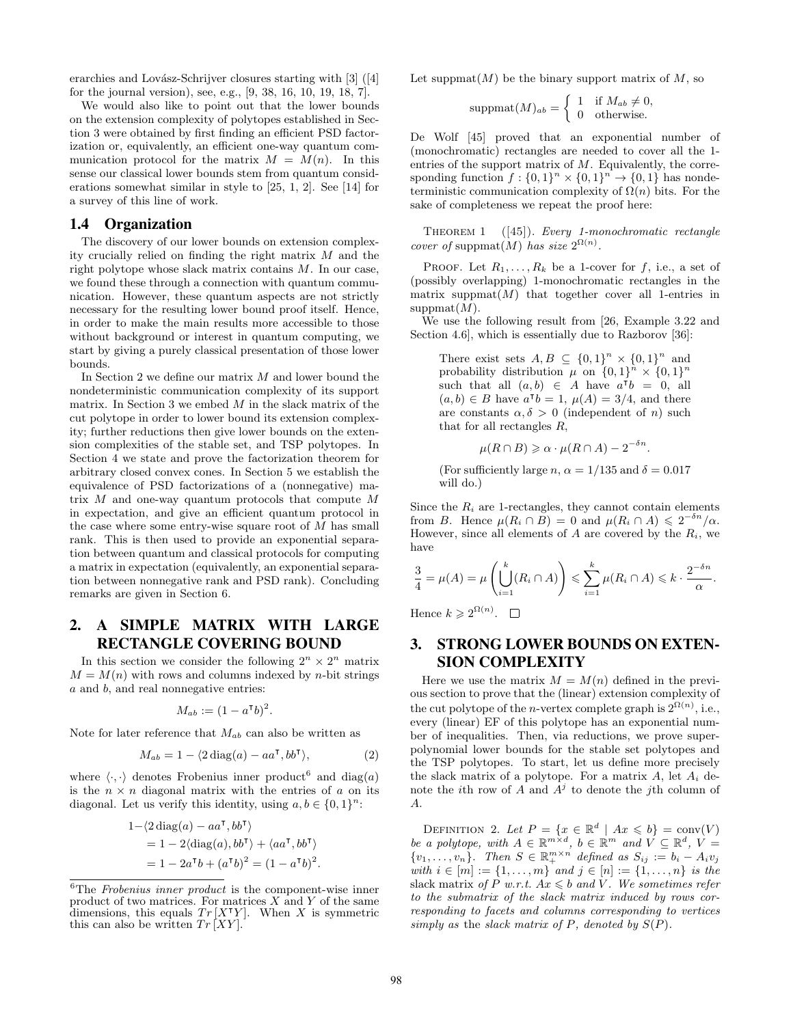erarchies and Lovász-Schrijver closures starting with  $[3]$  ([4] for the journal version), see, e.g., [9, 38, 16, 10, 19, 18, 7].

We would also like to point out that the lower bounds on the extension complexity of polytopes established in Section 3 were obtained by first finding an efficient PSD factorization or, equivalently, an efficient one-way quantum communication protocol for the matrix  $M = M(n)$ . In this sense our classical lower bounds stem from quantum considerations somewhat similar in style to [25, 1, 2]. See [14] for a survey of this line of work.

## 1.4 Organization

The discovery of our lower bounds on extension complexity crucially relied on finding the right matrix *M* and the right polytope whose slack matrix contains *M*. In our case, we found these through a connection with quantum communication. However, these quantum aspects are not strictly necessary for the resulting lower bound proof itself. Hence, in order to make the main results more accessible to those without background or interest in quantum computing, we start by giving a purely classical presentation of those lower bounds.

In Section 2 we define our matrix *M* and lower bound the nondeterministic communication complexity of its support matrix. In Section 3 we embed *M* in the slack matrix of the cut polytope in order to lower bound its extension complexity; further reductions then give lower bounds on the extension complexities of the stable set, and TSP polytopes. In Section 4 we state and prove the factorization theorem for arbitrary closed convex cones. In Section 5 we establish the equivalence of PSD factorizations of a (nonnegative) matrix *M* and one-way quantum protocols that compute *M* in expectation, and give an efficient quantum protocol in the case where some entry-wise square root of *M* has small rank. This is then used to provide an exponential separation between quantum and classical protocols for computing a matrix in expectation (equivalently, an exponential separation between nonnegative rank and PSD rank). Concluding remarks are given in Section 6.

# 2. A SIMPLE MATRIX WITH LARGE RECTANGLE COVERING BOUND

In this section we consider the following  $2^n \times 2^n$  matrix  $M = M(n)$  with rows and columns indexed by *n*-bit strings *a* and *b*, and real nonnegative entries:

$$
M_{ab} := (1 - a^{\mathsf{T}}b)^2.
$$

Note for later reference that *Mab* can also be written as

$$
M_{ab} = 1 - \langle 2 \operatorname{diag}(a) - aa^{\mathsf{T}}, bb^{\mathsf{T}} \rangle, \tag{2}
$$

where  $\langle \cdot, \cdot \rangle$  denotes Frobenius inner product<sup>6</sup> and diag(*a*) is the  $n \times n$  diagonal matrix with the entries of  $a$  on its diagonal. Let us verify this identity, using  $a, b \in \{0, 1\}^n$ :

$$
1-\langle 2 \operatorname{diag}(a) - a a^{\mathsf{T}}, b b^{\mathsf{T}} \rangle
$$
  
= 1 - 2\langle \operatorname{diag}(a), b b^{\mathsf{T}} \rangle + \langle a a^{\mathsf{T}}, b b^{\mathsf{T}} \rangle  
= 1 - 2a^{\mathsf{T}}b + (a^{\mathsf{T}}b)^2 = (1 - a^{\mathsf{T}}b)^2.

Let suppmat $(M)$  be the binary support matrix of M, so

$$
suppmat(M)_{ab} = \begin{cases} 1 & \text{if } M_{ab} \neq 0, \\ 0 & \text{otherwise.} \end{cases}
$$

De Wolf [45] proved that an exponential number of (monochromatic) rectangles are needed to cover all the 1 entries of the support matrix of *M*. Equivalently, the corresponding function  $f: \{0, 1\}^n \times \{0, 1\}^n \to \{0, 1\}$  has nondeterministic communication complexity of  $\Omega(n)$  bits. For the sake of completeness we repeat the proof here:

Theorem 1 ([45]). *Every 1-monochromatic rectangle cover of* suppmat $(M)$  *has size*  $2^{\Omega(n)}$ *.* 

PROOF. Let  $R_1, \ldots, R_k$  be a 1-cover for  $f$ , i.e., a set of (possibly overlapping) 1-monochromatic rectangles in the matrix suppmat $(M)$  that together cover all 1-entries in suppmat(*M*).

We use the following result from [26, Example 3.22 and Section 4.6, which is essentially due to Razborov [36]:

There exist sets  $A, B \subseteq \{0,1\}^n \times \{0,1\}^n$  and probability distribution  $\mu$  on  $\{0, 1\}^n \times \{0, 1\}^n$ such that all  $(a, b) \in A$  have  $a^{\mathsf{T}}b = 0$ , all  $(a, b) \in B$  have  $a^{\mathsf{T}}b = 1$ ,  $\mu(A) = 3/4$ , and there are constants  $\alpha, \delta > 0$  (independent of *n*) such that for all rectangles *R*,

$$
\mu(R \cap B) \geq \alpha \cdot \mu(R \cap A) - 2^{-\delta n}.
$$

(For sufficiently large *n*,  $\alpha = 1/135$  and  $\delta = 0.017$ will do.)

Since the  $R_i$  are 1-rectangles, they cannot contain elements from *B*. Hence  $\mu(R_i \cap B) = 0$  and  $\mu(R_i \cap A) \leq 2^{-\delta n}/\alpha$ . However, since all elements of  $A$  are covered by the  $R_i$ , we have

$$
\frac{3}{4} = \mu(A) = \mu\left(\bigcup_{i=1}^k (R_i \cap A)\right) \leqslant \sum_{i=1}^k \mu(R_i \cap A) \leqslant k \cdot \frac{2^{-\delta n}}{\alpha}.
$$

Hence  $k \geqslant 2^{\Omega(n)}$ .

# 3. STRONG LOWER BOUNDS ON EXTEN-SION COMPLEXITY

Here we use the matrix  $M = M(n)$  defined in the previous section to prove that the (linear) extension complexity of the cut polytope of the *n*-vertex complete graph is  $2^{\Omega(n)}$ , i.e., every (linear) EF of this polytope has an exponential number of inequalities. Then, via reductions, we prove superpolynomial lower bounds for the stable set polytopes and the TSP polytopes. To start, let us define more precisely the slack matrix of a polytope. For a matrix  $A$ , let  $A_i$  denote the *i*th row of  $\overline{A}$  and  $\overline{A}^j$  to denote the *j*th column of *A*.

DEFINITION 2. Let  $P = \{x \in \mathbb{R}^d \mid Ax \leq b\} = \text{conv}(V)$ *be a polytope, with*  $A \in \mathbb{R}^{m \times d}$ ,  $b \in \mathbb{R}^m$  *and*  $V \subseteq \mathbb{R}^d$ ,  $V =$  $\{v_1, \ldots, v_n\}$ *. Then*  $S \in \mathbb{R}_+^{m \times n}$  defined as  $S_{ij} := b_i - A_i v_j$  $with \ i \in [m] := \{1, \ldots, m\} \ and \ j \in [n] := \{1, \ldots, n\} \ is \ the$ slack matrix *of*  $P$  *w.r.t.*  $Ax \leq b$  *and*  $V$ *. We sometimes refer to the submatrix of the slack matrix induced by rows corresponding to facets and columns corresponding to vertices simply as the slack matrix of*  $P$ *, denoted by*  $S(P)$ *.* 

<sup>6</sup>The *Frobenius inner product* is the component-wise inner product of two matrices. For matrices *X* and *Y* of the same dimensions, this equals  $Tr [XYY]$ . When *X* is symmetric this can also be written  $Tr [XY]$ .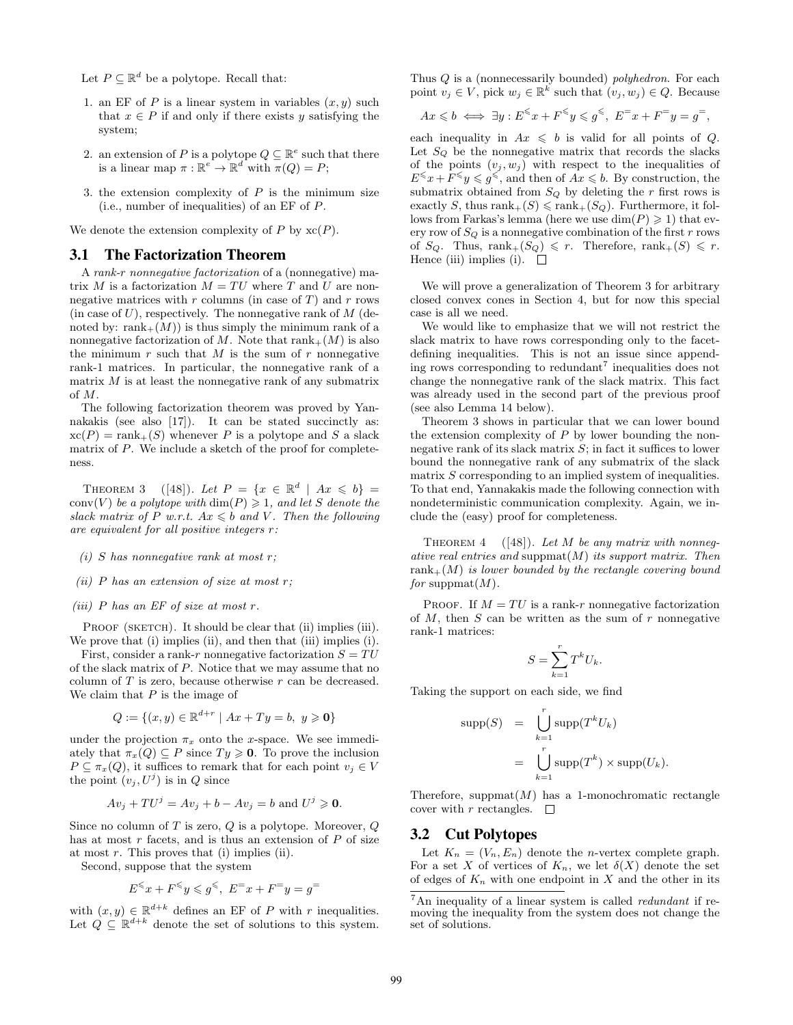Let  $P \subseteq \mathbb{R}^d$  be a polytope. Recall that:

- 1. an EF of  $P$  is a linear system in variables  $(x, y)$  such that  $x \in P$  if and only if there exists *y* satisfying the system;
- 2. an extension of *P* is a polytope  $Q \subseteq \mathbb{R}^e$  such that there is a linear map  $\pi$  :  $\mathbb{R}^e \to \mathbb{R}^d$  with  $\pi(Q) = P$ ;
- 3. the extension complexity of *P* is the minimum size (i.e., number of inequalities) of an EF of *P*.

We denote the extension complexity of  $P$  by  $\operatorname{xc}(P)$ .

#### 3.1 The Factorization Theorem

A *rank-r nonnegative factorization* of a (nonnegative) matrix *M* is a factorization  $M = TU$  where *T* and *U* are nonnegative matrices with *r* columns (in case of *T*) and *r* rows (in case of *U*), respectively. The nonnegative rank of *M* (denoted by:  $rank_{+}(M)$  is thus simply the minimum rank of a nonnegative factorization of *M*. Note that  $rank_{+}(M)$  is also the minimum  $r$  such that  $M$  is the sum of  $r$  nonnegative rank-1 matrices. In particular, the nonnegative rank of a matrix *M* is at least the nonnegative rank of any submatrix of *M*.

The following factorization theorem was proved by Yannakakis (see also [17]). It can be stated succinctly as:  $xc(P) = rank_{+}(S)$  whenever *P* is a polytope and *S* a slack matrix of *P*. We include a sketch of the proof for completeness.

THEOREM 3 ([48]). Let  $P = \{x \in \mathbb{R}^d \mid Ax \leq b\}$ conv $(V)$  *be a polytope with*  $\dim(P) \geq 1$ *, and let S denote the slack matrix of*  $P$  *w.r.t.*  $Ax \leq b$  *and*  $V$ *. Then the following are equivalent for all positive integers r:*

- *(i) S has nonnegative rank at most r;*
- *(ii) P has an extension of size at most r;*
- *(iii) P has an EF of size at most r.*

PROOF (SKETCH). It should be clear that (ii) implies (iii). We prove that (i) implies (ii), and then that (iii) implies (i).

First, consider a rank-*r* nonnegative factorization  $S = TU$ of the slack matrix of *P*. Notice that we may assume that no column of *T* is zero, because otherwise *r* can be decreased. We claim that *P* is the image of

$$
Q := \{(x, y) \in \mathbb{R}^{d+r} \mid Ax + Ty = b, \ y \geq 0\}
$$

*d*+*r*

under the projection  $\pi_x$  onto the *x*-space. We see immediately that  $\pi_x(Q) \subseteq P$  since  $Ty \ge 0$ . To prove the inclusion  $P \subseteq \pi_x(Q)$ , it suffices to remark that for each point  $v_j \in V$ the point  $(v_j, U^j)$  is in *Q* since

$$
Av_j + TU^j = Av_j + b - Av_j = b \text{ and } U^j \geq 0.
$$

Since no column of *T* is zero, *Q* is a polytope. Moreover, *Q* has at most *r* facets, and is thus an extension of *P* of size at most *r*. This proves that (i) implies (ii).

Second, suppose that the system

$$
E^{\leqslant}x+F^{\leqslant}y\leqslant g^{\leqslant},\ E^=x+F^=y=g^=
$$

with  $(x, y) \in \mathbb{R}^{d+k}$  defines an EF of *P* with *r* inequalities. Let  $Q \subseteq \mathbb{R}^{d+k}$  denote the set of solutions to this system. Thus *Q* is a (nonnecessarily bounded) *polyhedron*. For each point  $v_j \in V$ , pick  $w_j \in \mathbb{R}^k$  such that  $(v_j, w_j) \in Q$ . Because

$$
Ax \leqslant b \iff \exists y : E^{\leqslant} x + F^{\leqslant} y \leqslant g^{\leqslant}, E^{\equiv} x + F^{\equiv} y = g^{\equiv},
$$

each inequality in  $Ax \leq b$  is valid for all points of *Q*. Let *S<sup>Q</sup>* be the nonnegative matrix that records the slacks of the points  $(v_j, w_j)$  with respect to the inequalities of  $E^{\leqslant} x + F^{\leqslant} y \leqslant g^{\leqslant}$ , and then of  $Ax \leqslant b$ . By construction, the submatrix obtained from  $S_Q$  by deleting the  $r$  first rows is exactly *S*, thus rank $+(S) \leq \text{rank}_{+}(S_Q)$ . Furthermore, it follows from Farkas's lemma (here we use  $\dim(P) \geq 1$ ) that every row of  $S_Q$  is a nonnegative combination of the first  $r$  rows of  $S_Q$ . Thus,  $rank_+(S_Q) \leq r$ . Therefore,  $rank_+(S) \leq r$ . Hence (iii) implies (i).  $\Box$ 

We will prove a generalization of Theorem 3 for arbitrary closed convex cones in Section 4, but for now this special case is all we need.

We would like to emphasize that we will not restrict the slack matrix to have rows corresponding only to the facetdefining inequalities. This is not an issue since appending rows corresponding to redundant<sup>7</sup> inequalities does not change the nonnegative rank of the slack matrix. This fact was already used in the second part of the previous proof (see also Lemma 14 below).

Theorem 3 shows in particular that we can lower bound the extension complexity of *P* by lower bounding the nonnegative rank of its slack matrix *S*; in fact it suffices to lower bound the nonnegative rank of any submatrix of the slack matrix  $S$  corresponding to an implied system of inequalities. To that end, Yannakakis made the following connection with nondeterministic communication complexity. Again, we include the (easy) proof for completeness.

THEOREM 4 ([48]). Let M be any matrix with nonneg*ative real entries and* suppmat(*M*) *its support matrix. Then* rank+(*M*) *is lower bounded by the rectangle covering bound for* suppmat(*M*)*.*

PROOF. If  $M = TU$  is a rank-*r* nonnegative factorization of *M*, then *S* can be written as the sum of *r* nonnegative rank-1 matrices:

$$
S = \sum_{k=1}^{r} T^k U_k.
$$

Taking the support on each side, we find

$$
\text{supp}(S) = \bigcup_{k=1}^{r} \text{supp}(T^{k}U_{k})
$$

$$
= \bigcup_{k=1}^{r} \text{supp}(T^{k}) \times \text{supp}(U_{k}).
$$

Therefore, suppmat $(M)$  has a 1-monochromatic rectangle cover with  $r$  rectangles.  $\Box$ 

#### 3.2 Cut Polytopes

Let  $K_n = (V_n, E_n)$  denote the *n*-vertex complete graph. For a set X of vertices of  $K_n$ , we let  $\delta(X)$  denote the set of edges of  $K_n$  with one endpoint in  $X$  and the other in its

<sup>7</sup>An inequality of a linear system is called *redundant* if removing the inequality from the system does not change the set of solutions.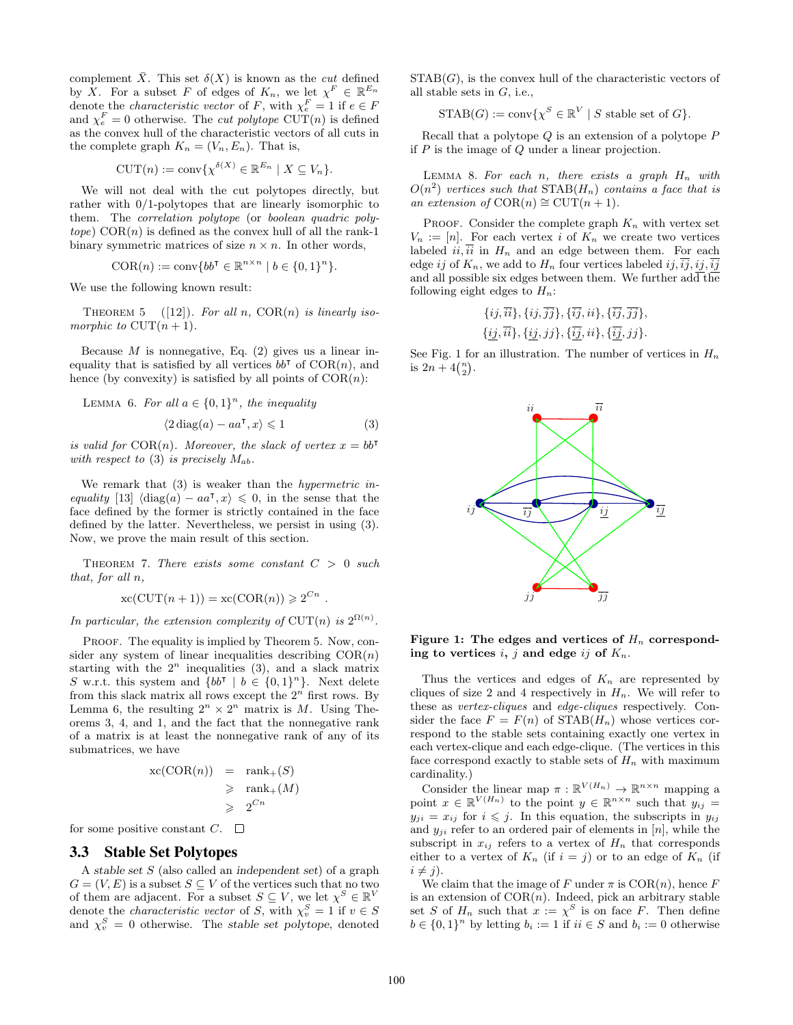complement  $\overline{X}$ . This set  $\delta(X)$  is known as the *cut* defined by *X*. For a subset *F* of edges of  $K_n$ , we let  $\chi^F \in \mathbb{R}^{E_n}$ denote the *characteristic vector* of *F*, with  $\chi_e^F = 1$  if  $e \in F$ and  $\chi_e^F = 0$  otherwise. The *cut polytope* CUT(*n*) is defined as the convex hull of the characteristic vectors of all cuts in the complete graph  $K_n = (V_n, E_n)$ . That is,

$$
CUT(n) := \text{conv}\{\chi^{\delta(X)} \in \mathbb{R}^{E_n} \mid X \subseteq V_n\}.
$$

We will not deal with the cut polytopes directly, but rather with 0/1-polytopes that are linearly isomorphic to them. The *correlation polytope* (or *boolean quadric poly* $tope)$   $COR(n)$  is defined as the convex hull of all the rank-1 binary symmetric matrices of size  $n \times n$ . In other words,

$$
\text{COR}(n) := \text{conv}\{bb^{\intercal} \in \mathbb{R}^{n \times n} \mid b \in \{0, 1\}^{n}\}.
$$

We use the following known result:

THEOREM 5 ([12]). For all  $n$ ,  $COR(n)$  is linearly iso*morphic to*  $CUT(n + 1)$ *.* 

Because  $M$  is nonnegative, Eq.  $(2)$  gives us a linear inequality that is satisfied by all vertices  $bb^{\mathsf{T}}$  of  $COR(n)$ , and hence (by convexity) is satisfied by all points of  $COR(n)$ :

LEMMA 6. For all  $a \in \{0,1\}^n$ , the inequality

$$
\langle 2 \operatorname{diag}(a) - a a^{\mathsf{T}}, x \rangle \leq 1 \tag{3}
$$

*.*

*is valid for*  $COR(n)$ *. Moreover, the slack of vertex*  $x = bb^T$ *with respect to* (3) *is precisely Mab.*

We remark that (3) is weaker than the *hypermetric inequality* [13]  $\langle diag(a) - aa^{\dagger}, x \rangle \leq 0$ , in the sense that the face defined by the former is strictly contained in the face defined by the latter. Nevertheless, we persist in using (3). Now, we prove the main result of this section.

Theorem 7. *There exists some constant C >* 0 *such that, for all n,*

$$
xc(CUT(n + 1)) = xc(COR(n)) \ge 2^{Cn}
$$

In particular, the extension complexity of  $CUT(n)$  is  $2^{\Omega(n)}$ .

PROOF. The equality is implied by Theorem 5. Now, consider any system of linear inequalities describing  $COR(n)$ starting with the  $2^n$  inequalities  $(3)$ , and a slack matrix *S* w.r.t. this system and  ${bb<sup>†</sup> | b \in {0,1}<sup>n</sup>}$ . Next delete from this slack matrix all rows except the  $2^n$  first rows. By Lemma 6, the resulting  $2^n \times 2^n$  matrix is *M*. Using Theorems 3, 4, and 1, and the fact that the nonnegative rank of a matrix is at least the nonnegative rank of any of its submatrices, we have

$$
\begin{aligned} \text{xc}(\text{COR}(n)) &= \text{rank}_{+}(S) \\ &\geqslant \text{rank}_{+}(M) \\ &\geqslant 2^{Cn} \end{aligned}
$$

for some positive constant  $C$ .  $\square$ 

## 3.3 Stable Set Polytopes

A *stable set S* (also called an *independent set*) of a graph  $G = (V, E)$  is a subset  $S \subseteq V$  of the vertices such that no two of them are adjacent. For a subset  $S \subseteq V$ , we let  $\chi^S \in \mathbb{R}^V$ denote the *characteristic vector* of *S*, with  $\chi_v^S = 1$  if  $v \in S$ and  $\chi_v^S = 0$  otherwise. The *stable set polytope*, denoted

 $STAB(G)$ , is the convex hull of the characteristic vectors of all stable sets in *G*, i.e.,

$$
\mathrm{STAB}(G) := \mathrm{conv}\{ \chi^S \in \mathbb{R}^V \mid S \text{ stable set of } G \}.
$$

Recall that a polytope *Q* is an extension of a polytope *P* if *P* is the image of *Q* under a linear projection.

LEMMA 8. For each  $n$ , there exists a graph  $H_n$  with  $O(n^2)$  *vertices such that*  $STAB(H_n)$  *contains a face that is an extension of*  $COR(n) ≅$  CUT $(n + 1)$ *.* 

PROOF. Consider the complete graph  $K_n$  with vertex set  $V_n := [n]$ . For each vertex *i* of  $K_n$  we create two vertices labeled  $ii, i\bar{i}$  in  $H_n$  and an edge between them. For each edge *ij* of  $K_n$ , we add to  $H_n$  four vertices labeled *ij*,  $\overline{ij}$ ,  $ij$ ,  $\overline{ij}$ and all possible six edges between them. We further  $\text{ad}\overline{\text{the}}$ following eight edges to  $H_n$ :

$$
\{ij,\overline{ii}\},\{ij,\overline{jj}\},\{\overline{ij},ii\},\{\overline{ij},\overline{jj}\},\{\underline{ij},\overline{ii}\},\{\underline{ij},\overline{ii}\},\{\underline{ij},\overline{ij}\},\{\underline{ij},\overline{ii}\},\{\overline{ij},\overline{ii}\},\{\overline{ij},\overline{ii}\}.
$$

See Fig. 1 for an illustration. The number of vertices in  $H_n$ is  $2n + 4{n \choose 2}$ .



Figure 1: The edges and vertices of  $H_n$  corresponding to vertices  $i, j$  and edge  $ij$  of  $K_n$ .

Thus the vertices and edges of  $K_n$  are represented by cliques of size 2 and 4 respectively in  $H_n$ . We will refer to these as *vertex-cliques* and *edge-cliques* respectively. Consider the face  $F = F(n)$  of  $STAB(H_n)$  whose vertices correspond to the stable sets containing exactly one vertex in each vertex-clique and each edge-clique. (The vertices in this face correspond exactly to stable sets of  $H_n$  with maximum cardinality.)

Consider the linear map  $\pi : \mathbb{R}^{V(H_n)} \to \mathbb{R}^{n \times n}$  mapping a point  $x \in \mathbb{R}^{V(H_n)}$  to the point  $y \in \mathbb{R}^{n \times n}$  such that  $y_{ij} =$  $y_{ji} = x_{ij}$  for  $i \leq j$ . In this equation, the subscripts in  $y_{ij}$ and  $y_{ji}$  refer to an ordered pair of elements in  $[n]$ , while the subscript in  $x_{ij}$  refers to a vertex of  $H_n$  that corresponds either to a vertex of  $K_n$  (if  $i = j$ ) or to an edge of  $K_n$  (if  $i \neq j$ ).

We claim that the image of *F* under  $\pi$  is  $COR(n)$ , hence *F* is an extension of  $COR(n)$ . Indeed, pick an arbitrary stable set *S* of  $H_n$  such that  $x := \chi^S$  is on face *F*. Then define  $b \in \{0,1\}^n$  by letting  $b_i := 1$  if  $ii \in S$  and  $b_i := 0$  otherwise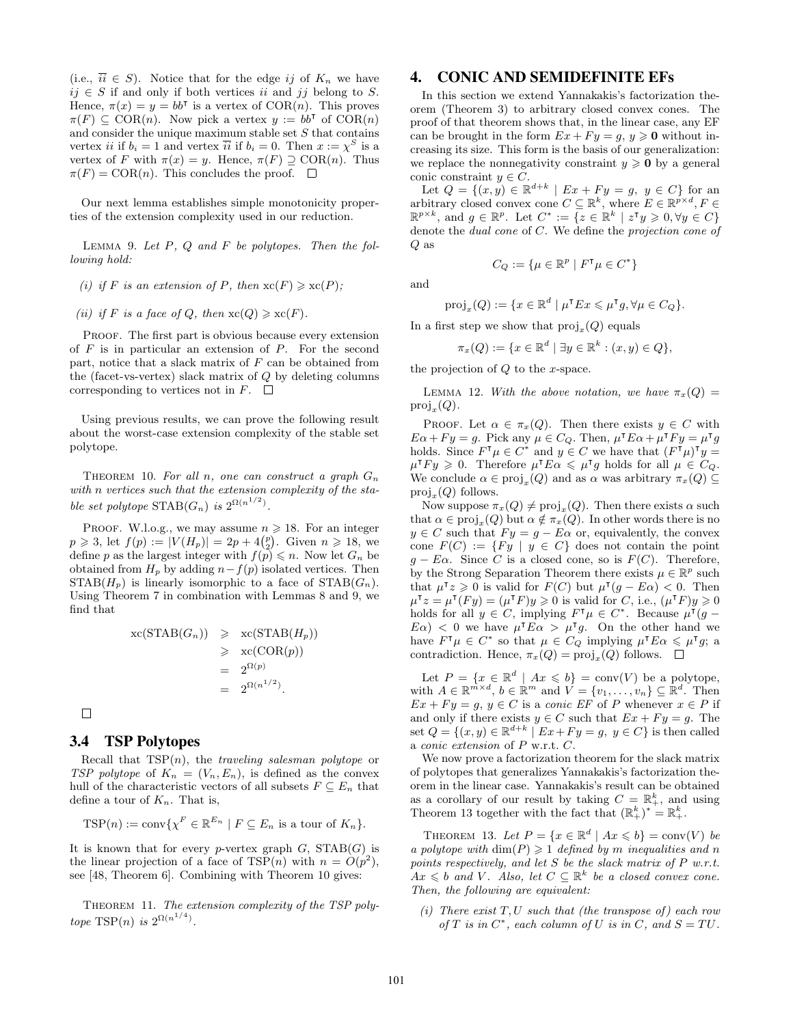(i.e.,  $\overline{ii} \in S$ ). Notice that for the edge *ij* of  $K_n$  we have *ij*  $∈$  *S* if and only if both vertices *ii* and *jj* belong to *S*. Hence,  $\pi(x) = y = bb^{\dagger}$  is a vertex of  $COR(n)$ . This proves  $\pi(F) \subseteq \text{COR}(n)$ . Now pick a vertex  $y := bb^{\dagger}$  of  $\text{COR}(n)$ and consider the unique maximum stable set *S* that contains vertex *ii* if  $b_i = 1$  and vertex  $\overline{ii}$  if  $b_i = 0$ . Then  $x := \chi^S$  is a vertex of *F* with  $\pi(x) = y$ . Hence,  $\pi(F) \supseteq \text{COR}(n)$ . Thus  $\pi(F) = \text{COR}(n)$ . This concludes the proof.  $\square$ 

Our next lemma establishes simple monotonicity properties of the extension complexity used in our reduction.

Lemma 9. *Let P, Q and F be polytopes. Then the following hold:*

- *(i)* if *F* is an extension of *P,* then  $\operatorname{xc}(F) \geq \operatorname{xc}(P)$ ;
- *(ii) if F is a face of Q, then*  $\operatorname{xc}(Q) \ge \operatorname{xc}(F)$ *.*

PROOF. The first part is obvious because every extension of *F* is in particular an extension of *P*. For the second part, notice that a slack matrix of *F* can be obtained from the (facet-vs-vertex) slack matrix of *Q* by deleting columns corresponding to vertices not in  $F$ .  $\Box$ 

Using previous results, we can prove the following result about the worst-case extension complexity of the stable set polytope.

THEOREM 10. For all *n*, one can construct a graph  $G_n$ *with n vertices such that the extension complexity of the stable set polytope*  $\text{STAB}(G_n)$  *is*  $2^{\Omega(n^{1/2})}$ *.* 

PROOF. W.l.o.g., we may assume  $n \geq 18$ . For an integer  $p \ge 3$ , let  $f(p) := |V(H_p)| = 2p + 4\binom{p}{2}$ . Given  $n \ge 18$ , we define *p* as the largest integer with  $f(p) \leq n$ . Now let  $G_n$  be obtained from  $H_p$  by adding  $n - f(p)$  isolated vertices. Then  $STAB(H_p)$  is linearly isomorphic to a face of  $STAB(G_n)$ . Using Theorem 7 in combination with Lemmas 8 and 9, we find that

$$
\operatorname{xc}(\operatorname{STAB}(G_n)) \geqslant \operatorname{xc}(\operatorname{STAB}(H_p))
$$
  
\n
$$
\geqslant \operatorname{xc}(\operatorname{COR}(p))
$$
  
\n
$$
= 2^{\Omega(p)}
$$
  
\n
$$
= 2^{\Omega(n^{1/2})}.
$$

 $\Box$ 

#### 3.4 TSP Polytopes

Recall that TSP(*n*), the *traveling salesman polytope* or *TSP polytope* of  $K_n = (V_n, E_n)$ , is defined as the convex hull of the characteristic vectors of all subsets  $F \subseteq E_n$  that define a tour of  $K_n$ . That is,

$$
TSP(n) := \text{conv}\{\chi^F \in \mathbb{R}^{E_n} \mid F \subseteq E_n \text{ is a tour of } K_n\}.
$$

It is known that for every *p*-vertex graph  $G$ ,  $STAB(G)$  is the linear projection of a face of  $TSP(n)$  with  $n = O(p^2)$ , see [48, Theorem 6]. Combining with Theorem 10 gives:

Theorem 11. *The extension complexity of the TSP polytope* TSP(*n*) *is*  $2^{\Omega(n^{1/4})}$ *.* 

## 4. CONIC AND SEMIDEFINITE EFs

In this section we extend Yannakakis's factorization theorem (Theorem 3) to arbitrary closed convex cones. The proof of that theorem shows that, in the linear case, any EF can be brought in the form  $Ex + Fy = g, y \ge 0$  without increasing its size. This form is the basis of our generalization: we replace the nonnegativity constraint  $y \ge 0$  by a general conic constraint  $y \in C$ .

Let  $Q = \{(x, y) \in \mathbb{R}^{d+k} \mid Ex + F y = g, y \in C\}$  for an arbitrary closed convex cone  $C \subseteq \mathbb{R}^k$ , where  $E \in \mathbb{R}^{p \times d}$ ,  $F \in$  $\mathbb{R}^{p \times k}$ , and  $g \in \mathbb{R}^p$ . Let  $C^* := \{z \in \mathbb{R}^k \mid z^{\mathsf{T}} y \geqslant 0, \forall y \in C\}$ denote the *dual cone* of *C*. We define the *projection cone of Q* as

and

$$
C_Q := \{ \mu \in \mathbb{R}^p \mid F^{\mathsf{T}} \mu \in C^* \}
$$

$$
\text{proj}_x(Q) := \{ x \in \mathbb{R}^d \mid \mu^{\mathsf{T}} E x \leqslant \mu^{\mathsf{T}} g, \forall \mu \in C_Q \}.
$$

In a first step we show that  $\text{proj}_x(Q)$  equals

$$
\pi_x(Q) := \{ x \in \mathbb{R}^d \mid \exists y \in \mathbb{R}^k : (x, y) \in Q \},
$$

the projection of *Q* to the *x*-space.

LEMMA 12. *With the above notation, we have*  $\pi_x(Q)$  =  $proj_x(Q)$ *.* 

PROOF. Let  $\alpha \in \pi_x(Q)$ . Then there exists  $y \in C$  with  $E\alpha + Fy = g$ . Pick any  $\mu \in C_Q$ . Then,  $\mu^{\dagger} E\alpha + \mu^{\dagger} Fy = \mu^{\dagger} g$ holds. Since  $F^{\mathsf{T}} \mu \in C^*$  and  $y \in C$  we have that  $(F^{\mathsf{T}} \mu)^{\mathsf{T}} y =$  $\mu^{\mathsf{T}} F y \geq 0$ . Therefore  $\mu^{\mathsf{T}} E \alpha \leq \mu^{\mathsf{T}} g$  holds for all  $\mu \in C_Q$ . We conclude  $\alpha \in \text{proj}_x(Q)$  and as  $\alpha$  was arbitrary  $\pi_x(Q) \subseteq$ proj*<sup>x</sup>* (*Q*) follows.

Now suppose  $\pi_x(Q) \neq \text{proj}_x(Q)$ . Then there exists  $\alpha$  such that  $\alpha \in \text{proj}_x(Q)$  but  $\alpha \notin \pi_x(Q)$ . In other words there is no  $y \in C$  such that  $F y = g - E \alpha$  or, equivalently, the convex cone  $F(C) := \{ Fy \mid y \in C \}$  does not contain the point  $g - E\alpha$ . Since *C* is a closed cone, so is  $F(C)$ . Therefore, by the Strong Separation Theorem there exists  $\mu \in \mathbb{R}^p$  such that  $\mu^{\mathsf{T}}z \geq 0$  is valid for  $F(C)$  but  $\mu^{\mathsf{T}}(g - E\alpha) < 0$ . Then  $\mu^{\mathsf{T}}z = \mu^{\mathsf{T}}(Fy) = (\mu^{\mathsf{T}}F)y \geqslant 0$  is valid for *C*, i.e.,  $(\mu^{\mathsf{T}}F)y \geqslant 0$ holds for all  $y \in C$ , implying  $F^{\mathsf{T}} \mu \in C^*$ . Because  $\mu^{\mathsf{T}}(g E\alpha$ )  $\lt$  0 we have  $\mu^{\mathsf{T}} E\alpha > \mu^{\mathsf{T}} g$ . On the other hand we have  $F^{\mathsf{T}} \mu \in C^*$  so that  $\mu \in C_Q$  implying  $\mu^{\mathsf{T}} E \alpha \leqslant \mu^{\mathsf{T}} g$ ; a contradiction. Hence,  $\pi_x(Q) = \text{proj}_x(Q)$  follows.

Let  $P = \{x \in \mathbb{R}^d \mid Ax \leq b\} = \text{conv}(V)$  be a polytope, with  $A \in \mathbb{R}^{m \times d}$ ,  $b \in \mathbb{R}^m$  and  $V = \{v_1, \ldots, v_n\} \subseteq \mathbb{R}^d$ . Then  $Ex + Fy = g, y \in C$  is a *conic EF* of *P* whenever  $x \in P$  if and only if there exists  $y \in C$  such that  $Ex + Fy = g$ . The set  $Q = \{(x, y) \in \mathbb{R}^{d+k} \mid Ex + Fy = g, y \in C\}$  is then called a *conic extension* of *P* w.r.t. *C*.

We now prove a factorization theorem for the slack matrix of polytopes that generalizes Yannakakis's factorization theorem in the linear case. Yannakakis's result can be obtained as a corollary of our result by taking  $C = \mathbb{R}^k_+$ , and using Theorem 13 together with the fact that  $(\mathbb{R}^k_+)^* = \mathbb{R}^k_+$ .

THEOREM 13. Let  $P = \{x \in \mathbb{R}^d \mid Ax \leq b\} = \text{conv}(V)$  be *a polytope with*  $\dim(P) \geq 1$  *defined by m inequalities and n points respectively, and let S be the slack matrix of P w.r.t.*  $Ax \leq b$  *and V*. Also, let  $C \subseteq \mathbb{R}^k$  be a closed convex cone. *Then, the following are equivalent:*

*(i) There exist T, U such that (the transpose of) each row of*  $T$  *is in*  $C^*$ *, each column of*  $U$  *is in*  $C$ *, and*  $S = TU$ *.*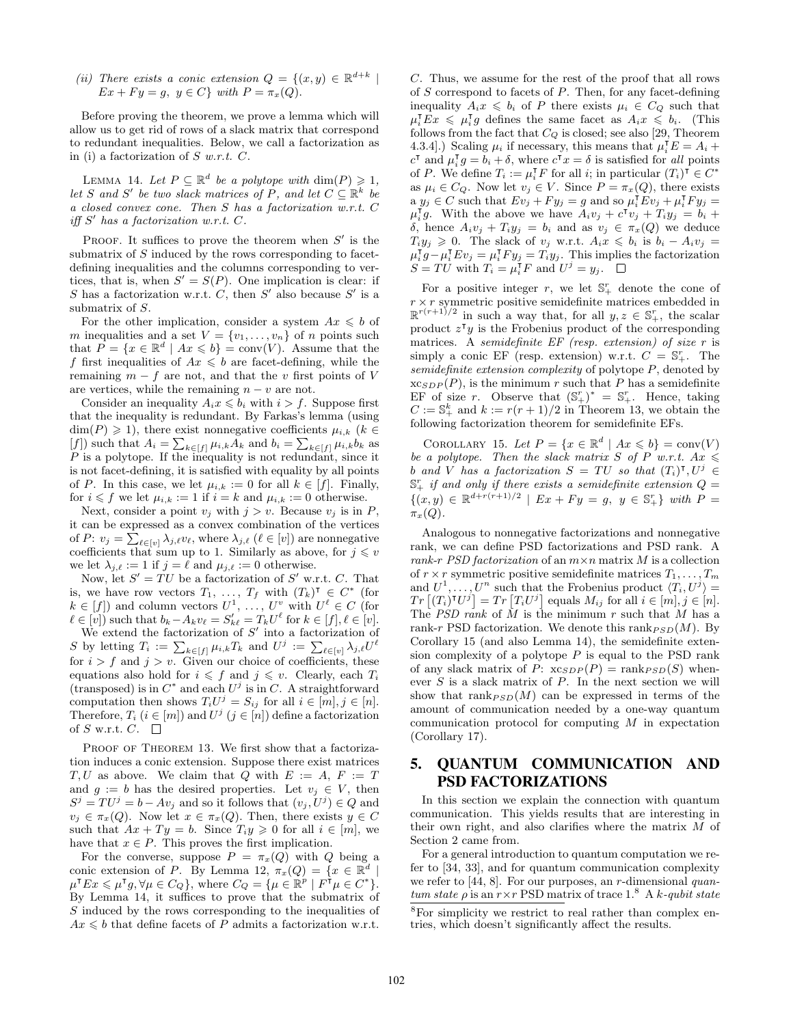*(ii)* There exists a conic extension  $Q = \{(x, y) \in \mathbb{R}^{d+k} \mid$  $Ex + F y = g, y \in C$ *} with*  $P = \pi_x(Q)$ *.* 

Before proving the theorem, we prove a lemma which will allow us to get rid of rows of a slack matrix that correspond to redundant inequalities. Below, we call a factorization as in (i) a factorization of *S w.r.t. C*.

LEMMA 14. Let  $P \subseteq \mathbb{R}^d$  be a polytope with  $\dim(P) \geq 1$ , *let S* and *S*<sup> $\prime$ </sup> *be two slack matrices of P, and let*  $C \subseteq \mathbb{R}^k$  *be a closed convex cone. Then S has a factorization w.r.t. C iff*  $S'$  has a factorization w.r.t.  $C$ *.* 

PROOF. It suffices to prove the theorem when  $S'$  is the submatrix of *S* induced by the rows corresponding to facetdefining inequalities and the columns corresponding to vertices, that is, when  $S' = S(P)$ . One implication is clear: if *S* has a factorization w.r.t. *C*, then *S*<sup> $\prime$ </sup> also because *S*<sup> $\prime$ </sup> is a submatrix of *S*.

For the other implication, consider a system  $Ax \leq b$  of *m* inequalities and a set  $V = \{v_1, \ldots, v_n\}$  of *n* points such that  $P = \{x \in \mathbb{R}^d \mid Ax \leqslant b\} = \text{conv}(V)$ . Assume that the *f* first inequalities of  $Ax \leq b$  are facet-defining, while the remaining  $m - f$  are not, and that the *v* first points of *V* are vertices, while the remaining  $n - v$  are not.

Consider an inequality  $A_i x \leq b_i$  with  $i > f$ . Suppose first that the inequality is redundant. By Farkas's lemma (using  $\dim(P) \geq 1$ , there exist nonnegative coefficients  $\mu_{i,k}$  ( $k \in$  $[f]$ ) such that  $A_i = \sum_{k \in [f]} \mu_{i,k} A_k$  and  $b_i = \sum_{k \in [f]} \mu_{i,k} b_k$  as *P* is a polytope. If the inequality is not redundant, since it is not facet-defining, it is satisfied with equality by all points of *P*. In this case, we let  $\mu_{i,k} := 0$  for all  $k \in [f]$ . Finally, for  $i \leq f$  we let  $\mu_{i,k} := 1$  if  $i = k$  and  $\mu_{i,k} := 0$  otherwise.

Next, consider a point  $v_j$  with  $j > v$ . Because  $v_j$  is in  $P$ , it can be expressed as a convex combination of the vertices of *P*:  $v_j = \sum_{\ell \in [v]} \lambda_{j,\ell} v_{\ell}$ , where  $\lambda_{j,\ell}$  ( $\ell \in [v]$ ) are nonnegative coefficients that sum up to 1. Similarly as above, for  $j \leq v$ we let  $\lambda_{j,\ell} := 1$  if  $j = \ell$  and  $\mu_{j,\ell} := 0$  otherwise.

Now, let  $S' = TU$  be a factorization of  $S'$  w.r.t.  $C$ . That is, we have row vectors  $T_1, \ldots, T_f$  with  $(T_k)^\mathsf{T} \in C^*$  (for  $k \in [f]$ ) and column vectors  $U^1, \ldots, U^v$  with  $U^l \in C$  (for  $\ell \in [v]$  such that  $b_k - A_k v_\ell = S'_{k\ell} = T_k U^\ell$  for  $k \in [f], \ell \in [v]$ .

We extend the factorization of  $S'$  into a factorization of  $S$  by letting  $T_i := \sum_{k \in [f]} \mu_{i,k} T_k$  and  $U^j := \sum_{\ell \in [v]} \lambda_{j,\ell} U^{\ell}$ for  $i > f$  and  $j > v$ . Given our choice of coefficients, these equations also hold for  $i \leq f$  and  $j \leq v$ . Clearly, each  $T_i$ (transposed) is in  $C^*$  and each  $U^j$  is in  $C$ . A straightforward computation then shows  $T_iU^j = S_{ij}$  for all  $i \in [m], j \in [n]$ . Therefore,  $T_i$  ( $i \in [m]$ ) and  $U^j$  ( $j \in [n]$ ) define a factorization of *S* w.r.t.  $C$ .  $\Box$ 

PROOF OF THEOREM 13. We first show that a factorization induces a conic extension. Suppose there exist matrices *T, U* as above. We claim that *Q* with  $E := A$ ,  $F := T$ and  $g := b$  has the desired properties. Let  $v_j \in V$ , then  $S^j = TU^j = b - Av_j$  and so it follows that  $(v_j, U^j) \in Q$  and  $v_j \in \pi_x(Q)$ . Now let  $x \in \pi_x(Q)$ . Then, there exists  $y \in C$ such that  $Ax + Ty = b$ . Since  $T_i y \geq 0$  for all  $i \in [m]$ , we have that  $x \in P$ . This proves the first implication.

For the converse, suppose  $P = \pi_x(Q)$  with *Q* being a conic extension of *P*. By Lemma 12,  $\pi_x(Q) = \{x \in \mathbb{R}^d \mid$  $\mu^{\intercal} E x \leqslant \mu^{\intercal} g, \forall \mu \in C_Q$ , where  $C_Q = {\mu \in \mathbb{R}^p \mid F^{\intercal} \mu \in C^*}.$ By Lemma 14, it suffices to prove that the submatrix of *S* induced by the rows corresponding to the inequalities of  $Ax \leq b$  that define facets of *P* admits a factorization w.r.t.

*C*. Thus, we assume for the rest of the proof that all rows of *S* correspond to facets of *P*. Then, for any facet-defining inequality  $A_i x \leq b_i$  of *P* there exists  $\mu_i \in C_Q$  such that  $\mu_i^{\mathsf{T}} E x \leqslant \mu_i^{\mathsf{T}} g$  defines the same facet as  $A_i x \leqslant b_i$ . (This follows from the fact that *C<sup>Q</sup>* is closed; see also [29, Theorem 4.3.4].) Scaling  $\mu_i$  if necessary, this means that  $\mu_i^{\mathsf{T}}E = A_i +$  $c^{\mathsf{T}}$  and  $\mu_i^{\mathsf{T}} g = b_i + \delta$ , where  $c^{\mathsf{T}} x = \delta$  is satisfied for *all* points of *P*. We define  $T_i := \mu_i^{\mathsf{T}} F$  for all *i*; in particular  $(T_i)^{\mathsf{T}} \in C^*$ as  $\mu_i \in C_Q$ . Now let  $v_j \in V$ . Since  $P = \pi_x(Q)$ , there exists a  $y_j \in C$  such that  $Ev_j + Fy_j = g$  and so  $\mu_i^{\mathsf{T}} Ev_j + \mu_i^{\mathsf{T}} Fy_j =$  $\mu_i^{\mathsf{T}} g$ . With the above we have  $A_i v_j + c^{\mathsf{T}} v_j + T_i y_j = b_i + c^{\mathsf{T}} v_j$ *δ*, hence  $A_i v_j + T_i y_j = b_i$  and as  $v_j \in \pi_x(Q)$  we deduce  $T_i y_j \geq 0$ . The slack of *v<sub>j</sub>* w.r.t.  $A_i x \leq b_i$  is  $b_i - A_i v_j =$  $\mu_i^{\mathsf{T}} g - \mu_i^{\mathsf{T}} E v_j = \mu_i^{\mathsf{T}} F y_j = T_i y_j$ . This implies the factorization  $S = TU$  with  $T_i = \mu_i^{\mathsf{T}} F$  and  $U^j = y_j$ .

For a positive integer  $r$ , we let  $\mathbb{S}^r_+$  denote the cone of  $r \times r$  symmetric positive semidefinite matrices embedded in  $\mathbb{R}^{r(r+1)/2}$  in such a way that, for all  $y, z \in \mathbb{S}^r_+$ , the scalar product  $z^{\mathsf{T}}y$  is the Frobenius product of the corresponding matrices. A *semidefinite EF (resp. extension) of size r* is simply a conic EF (resp. extension) w.r.t.  $C = \mathbb{S}_{+}^{r}$ . The *semidefinite extension complexity* of polytope *P*, denoted by  $xc_{SDP}(P)$ , is the minimum *r* such that *P* has a semidefinite EF of size *r*. Observe that  $(\mathbb{S}_{+}^{r})^{*} = \mathbb{S}_{+}^{r}$ . Hence, taking  $C := \mathbb{S}^k_+$  and  $k := r(r+1)/2$  in Theorem 13, we obtain the following factorization theorem for semidefinite EFs.

COROLLARY 15. Let  $P = \{x \in \mathbb{R}^d \mid Ax \leq b\} = \text{conv}(V)$ *be a polytope. Then the slack matrix S of P w.r.t.*  $Ax \leq$ *b and V has a factorization*  $S = TU$  *so that*  $(T_i)^T, U^j \in$  $\mathbb{S}_{+}^{r}$  *if and only if there exists a semidefinite extension*  $Q =$ *{*(*x, y*)  $\in \mathbb{R}^{d+r(r+1)/2}$  *| Ex* + *Fy* = *g, y*  $\in \mathbb{S}^r_+$ *} with P* = *πx*(*Q*)*.*

Analogous to nonnegative factorizations and nonnegative rank, we can define PSD factorizations and PSD rank. A *rank-r PSD factorization* of an *m×n* matrix *M* is a collection of  $r \times r$  symmetric positive semidefinite matrices  $T_1, \ldots, T_m$ and  $U^1, \ldots, U^n$  such that the Frobenius product  $\langle T_i, U^j \rangle =$  $Tr\left[(T_i)^{\dagger}U^j\right] = Tr\left[T_iU^j\right]$  equals  $M_{ij}$  for all  $i \in [m], j \in [n]$ . The *PSD rank* of *M* is the minimum *r* such that *M* has a rank-*r* PSD factorization. We denote this rank $_{PSD}(M)$ . By Corollary 15 (and also Lemma 14), the semidefinite extension complexity of a polytope *P* is equal to the PSD rank of any slack matrix of *P*:  $xc_{SDP}(P) = \text{rank}_{PSD}(S)$  whenever *S* is a slack matrix of *P*. In the next section we will show that  $\text{rank}_{PSD}(M)$  can be expressed in terms of the amount of communication needed by a one-way quantum communication protocol for computing *M* in expectation (Corollary 17).

# 5. QUANTUM COMMUNICATION AND PSD FACTORIZATIONS

In this section we explain the connection with quantum communication. This yields results that are interesting in their own right, and also clarifies where the matrix *M* of Section 2 came from.

For a general introduction to quantum computation we refer to [34, 33], and for quantum communication complexity we refer to [44, 8]. For our purposes, an *r*-dimensional *quantum state*  $\rho$  is an  $r \times r$  PSD matrix of trace 1.<sup>8</sup> A *k-qubit state* 

<sup>8</sup>For simplicity we restrict to real rather than complex entries, which doesn't significantly affect the results.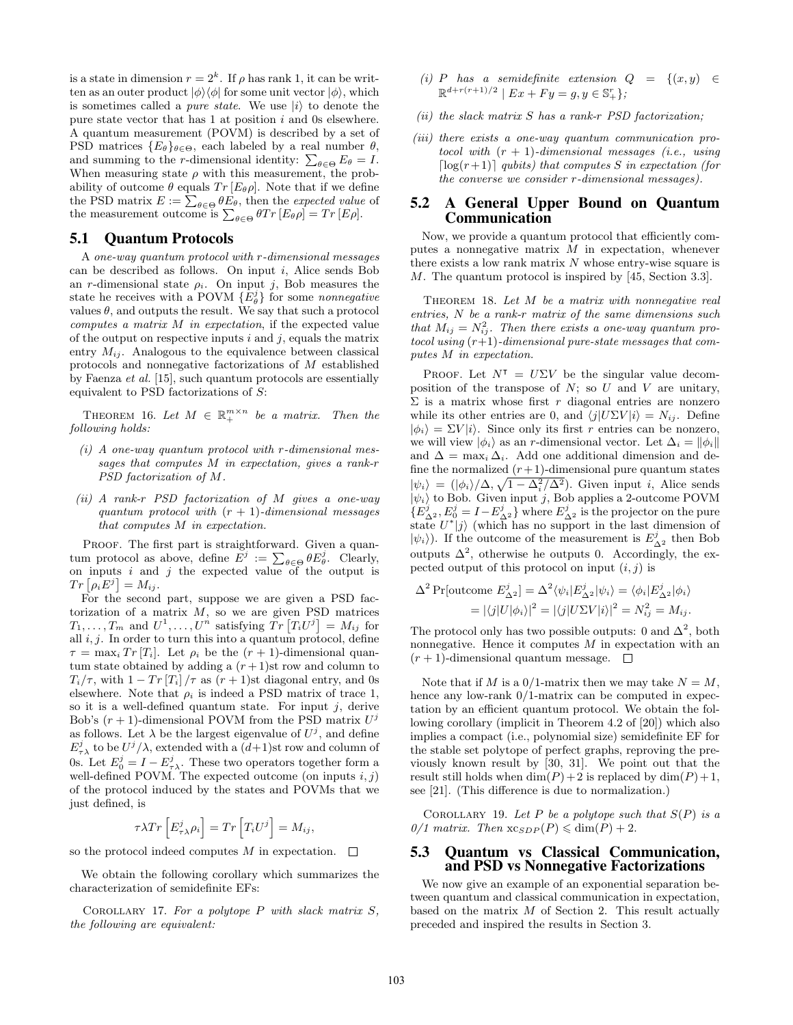is a state in dimension  $r = 2<sup>k</sup>$ . If  $\rho$  has rank 1, it can be written as an outer product  $|\phi\rangle\langle\phi|$  for some unit vector  $|\phi\rangle$ , which is sometimes called a *pure state*. We use  $|i\rangle$  to denote the pure state vector that has 1 at position *i* and 0s elsewhere. A quantum measurement (POVM) is described by a set of PSD matrices  ${E_{\theta}}_{\theta \in \Theta}$ , each labeled by a real number  $\theta$ , and summing to the *r*-dimensional identity:  $\sum_{\theta \in \Theta} E_{\theta} = I$ . When measuring state  $\rho$  with this measurement, the probability of outcome  $\theta$  equals  $Tr [E_{\theta} \rho]$ . Note that if we define the PSD matrix  $E := \sum_{\theta \in \Theta} \theta E_{\theta}$ , then the *expected value* of the measurement outcome is  $\sum_{\theta \in \Theta} \theta Tr [E_{\theta} \rho] = Tr [E \rho].$ 

#### 5.1 Quantum Protocols

A *one-way quantum protocol with r-dimensional messages* can be described as follows. On input *i*, Alice sends Bob an *r*-dimensional state  $\rho_i$ . On input *j*, Bob measures the state he receives with a POVM  $\{E_{\theta}^{j}\}$  for some *nonnegative* values  $\theta$ , and outputs the result. We say that such a protocol *computes a matrix M in expectation*, if the expected value of the output on respective inputs *i* and *j*, equals the matrix entry  $M_{ij}$ . Analogous to the equivalence between classical protocols and nonnegative factorizations of *M* established by Faenza *et al.* [15], such quantum protocols are essentially equivalent to PSD factorizations of *S*:

THEOREM 16. Let  $M \in \mathbb{R}_+^{m \times n}$  be a matrix. Then the *following holds:*

- *(i) A one-way quantum protocol with r-dimensional messages that computes M in expectation, gives a rank-r PSD factorization of M.*
- *(ii) A rank-r PSD factorization of M gives a one-way quantum protocol with* (*r* + 1)*-dimensional messages that computes M in expectation.*

PROOF. The first part is straightforward. Given a quantum protocol as above, define  $E^j := \sum_{\theta \in \Theta} \theta E^j_{\theta}$ . Clearly, on inputs  $i$  and  $j$  the expected value of the output is  $Tr\left[\rho_i E^j\right] = M_{ij}.$ 

For the second part, suppose we are given a PSD factorization of a matrix *M*, so we are given PSD matrices  $T_1, \ldots, T_m$  and  $U^1, \ldots, U^n$  satisfying  $\overline{Tr} [T_i U^j] = M_{ij}$  for all *i, j*. In order to turn this into a quantum protocol, define  $\tau = \max_i Tr[T_i]$ . Let  $\rho_i$  be the  $(r + 1)$ -dimensional quantum state obtained by adding a  $(r+1)$ st row and column to  $T_i/\tau$ , with  $1 - Tr[T_i]/\tau$  as  $(r + 1)$ st diagonal entry, and 0s elsewhere. Note that  $\rho_i$  is indeed a PSD matrix of trace 1, so it is a well-defined quantum state. For input *j*, derive Bob's  $(r + 1)$ -dimensional POVM from the PSD matrix  $U^j$ as follows. Let  $\lambda$  be the largest eigenvalue of  $U^j$ , and define  $E^j_{\tau \lambda}$  to be  $U^j/\lambda$ , extended with a  $(d+1)$ st row and column of 0s. Let  $E_0^j = I - E_{\tau \lambda}^j$ . These two operators together form a well-defined POVM. The expected outcome (on inputs *i, j*) of the protocol induced by the states and POVMs that we just defined, is

$$
\tau \lambda Tr\left[E_{\tau\lambda}^{j} \rho_i\right] = Tr\left[T_i U^{j}\right] = M_{ij},
$$

so the protocol indeed computes *M* in expectation.  $\Box$ 

We obtain the following corollary which summarizes the characterization of semidefinite EFs:

Corollary 17. *For a polytope P with slack matrix S, the following are equivalent:*

- $(i)$  *P has a semidefinite extension*  $Q = \{(x, y) \in$  $\mathbb{R}^{d+r(r+1)/2}$  |  $Ex + Fy = g, y \in \mathbb{S}^r_+$ }*;*
- *(ii) the slack matrix S has a rank-r PSD factorization;*
- *(iii) there exists a one-way quantum communication protocol with* (*r* + 1)*-dimensional messages (i.e., using*  $\lceil \log(r+1) \rceil$  *qubits) that computes S in expectation (for the converse we consider r-dimensional messages).*

# 5.2 A General Upper Bound on Quantum Communication

Now, we provide a quantum protocol that efficiently computes a nonnegative matrix *M* in expectation, whenever there exists a low rank matrix *N* whose entry-wise square is *M*. The quantum protocol is inspired by [45, Section 3.3].

Theorem 18. *Let M be a matrix with nonnegative real entries, N be a rank-r matrix of the same dimensions such that*  $M_{ij} = N_{ij}^2$ . Then there exists a one-way quantum pro*tocol using* (*r*+1)*-dimensional pure-state messages that computes M in expectation.*

PROOF. Let  $N^{\dagger} = U\Sigma V$  be the singular value decomposition of the transpose of *N*; so *U* and *V* are unitary,  $\Sigma$  is a matrix whose first *r* diagonal entries are nonzero while its other entries are 0, and  $\langle j | U \Sigma V | i \rangle = N_{ij}$ . Define  $|\phi_i\rangle = \Sigma V|i\rangle$ . Since only its first *r* entries can be nonzero, we will view  $|\phi_i\rangle$  as an *r*-dimensional vector. Let  $\Delta_i = ||\phi_i||$ and  $\Delta = \max_i \Delta_i$ . Add one additional dimension and define the normalized  $(r+1)$ -dimensional pure quantum states  $|\psi_i\rangle = (|\phi_i\rangle/\Delta, \sqrt{1 - \Delta_i^2/\Delta^2})$ . Given input *i*, Alice sends  $|\psi_i\rangle$  to Bob. Given input *j*, Bob applies a 2-outcome POVM  ${E}^{j}_{\Delta^2}, E^j_0 = I - E^j_{\Delta^2}$  where  $E^j_{\Delta^2}$  is the projector on the pure state  $U^*|j\rangle$  (which has no support in the last dimension of  $|\psi_i\rangle$ ). If the outcome of the measurement is  $E^j_{\Delta^2}$  then Bob outputs  $\Delta^2$ , otherwise he outputs 0. Accordingly, the expected output of this protocol on input  $(i, j)$  is

$$
\Delta^2 \Pr[\text{outcome } E_{\Delta^2}^j] = \Delta^2 \langle \psi_i | E_{\Delta^2}^j | \psi_i \rangle = \langle \phi_i | E_{\Delta^2}^j | \phi_i \rangle
$$
  
=  $|\langle j | U | \phi_i \rangle|^2 = |\langle j | U \Sigma V | i \rangle|^2 = N_{ij}^2 = M_{ij}.$ 

The protocol only has two possible outputs: 0 and  $\Delta^2$ , both nonnegative. Hence it computes *M* in expectation with an  $(r+1)$ -dimensional quantum message.  $\square$ 

Note that if *M* is a 0/1-matrix then we may take  $N = M$ , hence any low-rank  $0/1$ -matrix can be computed in expectation by an efficient quantum protocol. We obtain the following corollary (implicit in Theorem 4.2 of [20]) which also implies a compact (i.e., polynomial size) semidefinite EF for the stable set polytope of perfect graphs, reproving the previously known result by [30, 31]. We point out that the result still holds when  $\dim(P) + 2$  is replaced by  $\dim(P) + 1$ , see [21]. (This difference is due to normalization.)

COROLLARY 19. Let P be a polytope such that  $S(P)$  is a  $0/1$  matrix. Then  $x_{CSDP}(P) \leq \dim(P) + 2$ .

#### 5.3 Quantum vs Classical Communication, and PSD vs Nonnegative Factorizations

We now give an example of an exponential separation between quantum and classical communication in expectation, based on the matrix *M* of Section 2. This result actually preceded and inspired the results in Section 3.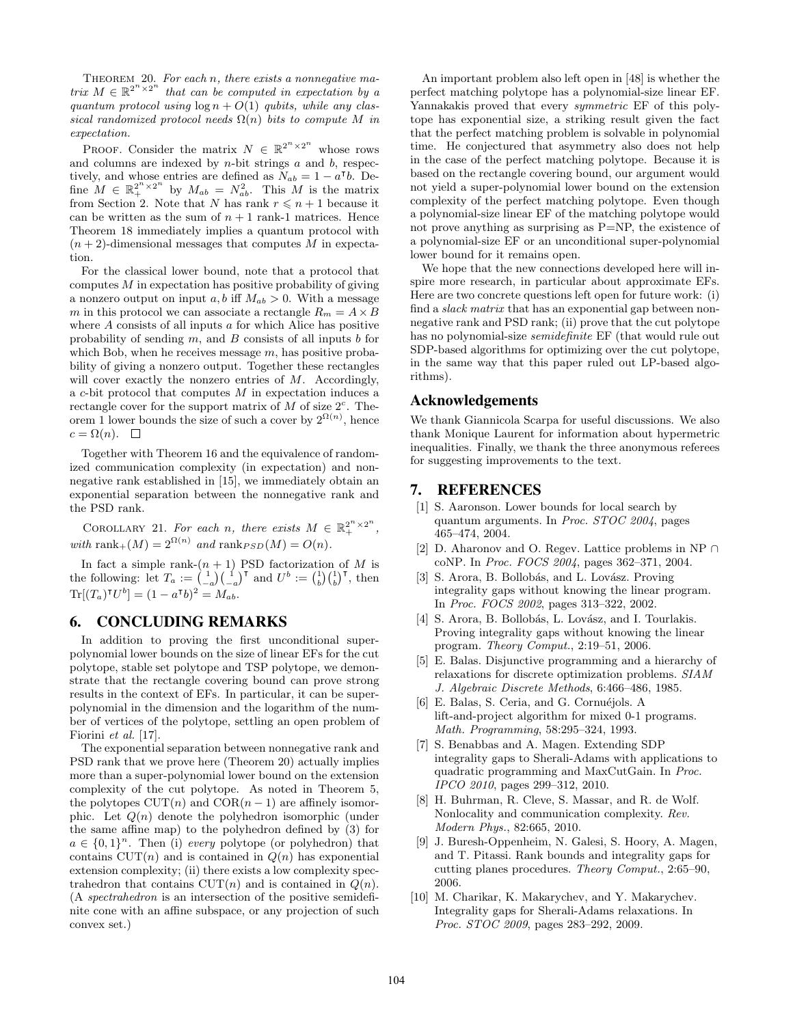Theorem 20. *For each n, there exists a nonnegative matrix*  $M \in \mathbb{R}^{2^n \times 2^n}$  *that can be computed in expectation by a quantum protocol using*  $\log n + O(1)$  *qubits, while any classical randomized protocol needs*  $\Omega(n)$  *bits to compute M in expectation.*

PROOF. Consider the matrix  $N \in \mathbb{R}^{2^{n} \times 2^{n}}$  whose rows and columns are indexed by *n*-bit strings *a* and *b*, respectively, and whose entries are defined as  $N_{ab} = 1 - a^{\dagger}b$ . Define  $M \in \mathbb{R}_+^{2^n \times 2^n}$  by  $M_{ab} = N_{ab}^2$ . This *M* is the matrix from Section 2. Note that *N* has rank  $r \leq n+1$  because it can be written as the sum of  $n + 1$  rank-1 matrices. Hence Theorem 18 immediately implies a quantum protocol with  $(n+2)$ -dimensional messages that computes M in expectation.

For the classical lower bound, note that a protocol that computes *M* in expectation has positive probability of giving a nonzero output on input  $a, b$  iff  $M_{ab} > 0$ . With a message *m* in this protocol we can associate a rectangle  $R_m = A \times B$ where *A* consists of all inputs *a* for which Alice has positive probability of sending *m*, and *B* consists of all inputs *b* for which Bob, when he receives message *m*, has positive probability of giving a nonzero output. Together these rectangles will cover exactly the nonzero entries of *M*. Accordingly, a *c*-bit protocol that computes *M* in expectation induces a rectangle cover for the support matrix of  $M$  of size  $2<sup>c</sup>$ . Theorem 1 lower bounds the size of such a cover by  $2^{\Omega(n)}$ , hence  $c = \Omega(n)$ .  $\square$ 

Together with Theorem 16 and the equivalence of randomized communication complexity (in expectation) and nonnegative rank established in [15], we immediately obtain an exponential separation between the nonnegative rank and the PSD rank.

COROLLARY 21. For each *n*, there exists  $M \in \mathbb{R}_+^{2^n \times 2^n}$ ,  $with \ \text{rank}_+(M) = 2^{\Omega(n)} \ \text{and} \ \text{rank}_{PSD}(M) = O(n).$ 

In fact a simple rank- $(n + 1)$  PSD factorization of *M* is the following: let  $T_a := \binom{1}{-a} \binom{1}{-a}^{\dagger}$  and  $U^b := \binom{1}{b} \binom{1}{b}^{\dagger}$ , then  $\text{Tr}[(T_a)^{\mathsf{T}}U^b] = (1 - a^{\mathsf{T}}b)^2 = M_{ab}.$ 

# 6. CONCLUDING REMARKS

In addition to proving the first unconditional superpolynomial lower bounds on the size of linear EFs for the cut polytope, stable set polytope and TSP polytope, we demonstrate that the rectangle covering bound can prove strong results in the context of EFs. In particular, it can be superpolynomial in the dimension and the logarithm of the number of vertices of the polytope, settling an open problem of Fiorini *et al.* [17].

The exponential separation between nonnegative rank and PSD rank that we prove here (Theorem 20) actually implies more than a super-polynomial lower bound on the extension complexity of the cut polytope. As noted in Theorem 5, the polytopes  $CUT(n)$  and  $COR(n-1)$  are affinely isomorphic. Let *Q*(*n*) denote the polyhedron isomorphic (under the same affine map) to the polyhedron defined by (3) for  $a \in \{0,1\}^n$ . Then (i) *every* polytope (or polyhedron) that contains  $CUT(n)$  and is contained in  $Q(n)$  has exponential extension complexity; (ii) there exists a low complexity spectrahedron that contains  $CUT(n)$  and is contained in  $Q(n)$ . (A *spectrahedron* is an intersection of the positive semidefinite cone with an affine subspace, or any projection of such convex set.)

An important problem also left open in [48] is whether the perfect matching polytope has a polynomial-size linear EF. Yannakakis proved that every *symmetric* EF of this polytope has exponential size, a striking result given the fact that the perfect matching problem is solvable in polynomial time. He conjectured that asymmetry also does not help in the case of the perfect matching polytope. Because it is based on the rectangle covering bound, our argument would not yield a super-polynomial lower bound on the extension complexity of the perfect matching polytope. Even though a polynomial-size linear EF of the matching polytope would not prove anything as surprising as P=NP, the existence of a polynomial-size EF or an unconditional super-polynomial lower bound for it remains open.

We hope that the new connections developed here will inspire more research, in particular about approximate EFs. Here are two concrete questions left open for future work: (i) find a *slack matrix* that has an exponential gap between nonnegative rank and PSD rank; (ii) prove that the cut polytope has no polynomial-size *semidefinite* EF (that would rule out SDP-based algorithms for optimizing over the cut polytope, in the same way that this paper ruled out LP-based algorithms).

## Acknowledgements

We thank Giannicola Scarpa for useful discussions. We also thank Monique Laurent for information about hypermetric inequalities. Finally, we thank the three anonymous referees for suggesting improvements to the text.

# 7. REFERENCES

- [1] S. Aaronson. Lower bounds for local search by quantum arguments. In *Proc. STOC 2004*, pages 465–474, 2004.
- [2] D. Aharonov and O. Regev. Lattice problems in NP *∩* coNP. In *Proc. FOCS 2004*, pages 362–371, 2004.
- [3] S. Arora, B. Bollobás, and L. Lovász. Proving integrality gaps without knowing the linear program. In *Proc. FOCS 2002*, pages 313–322, 2002.
- [4] S. Arora, B. Bollobás, L. Lovász, and I. Tourlakis. Proving integrality gaps without knowing the linear program. *Theory Comput.*, 2:19–51, 2006.
- [5] E. Balas. Disjunctive programming and a hierarchy of relaxations for discrete optimization problems. *SIAM J. Algebraic Discrete Methods*, 6:466–486, 1985.
- [6] E. Balas, S. Ceria, and G. Cornuéjols. A lift-and-project algorithm for mixed 0-1 programs. *Math. Programming*, 58:295–324, 1993.
- [7] S. Benabbas and A. Magen. Extending SDP integrality gaps to Sherali-Adams with applications to quadratic programming and MaxCutGain. In *Proc. IPCO 2010*, pages 299–312, 2010.
- [8] H. Buhrman, R. Cleve, S. Massar, and R. de Wolf. Nonlocality and communication complexity. *Rev. Modern Phys.*, 82:665, 2010.
- [9] J. Buresh-Oppenheim, N. Galesi, S. Hoory, A. Magen, and T. Pitassi. Rank bounds and integrality gaps for cutting planes procedures. *Theory Comput.*, 2:65–90, 2006.
- [10] M. Charikar, K. Makarychev, and Y. Makarychev. Integrality gaps for Sherali-Adams relaxations. In *Proc. STOC 2009*, pages 283–292, 2009.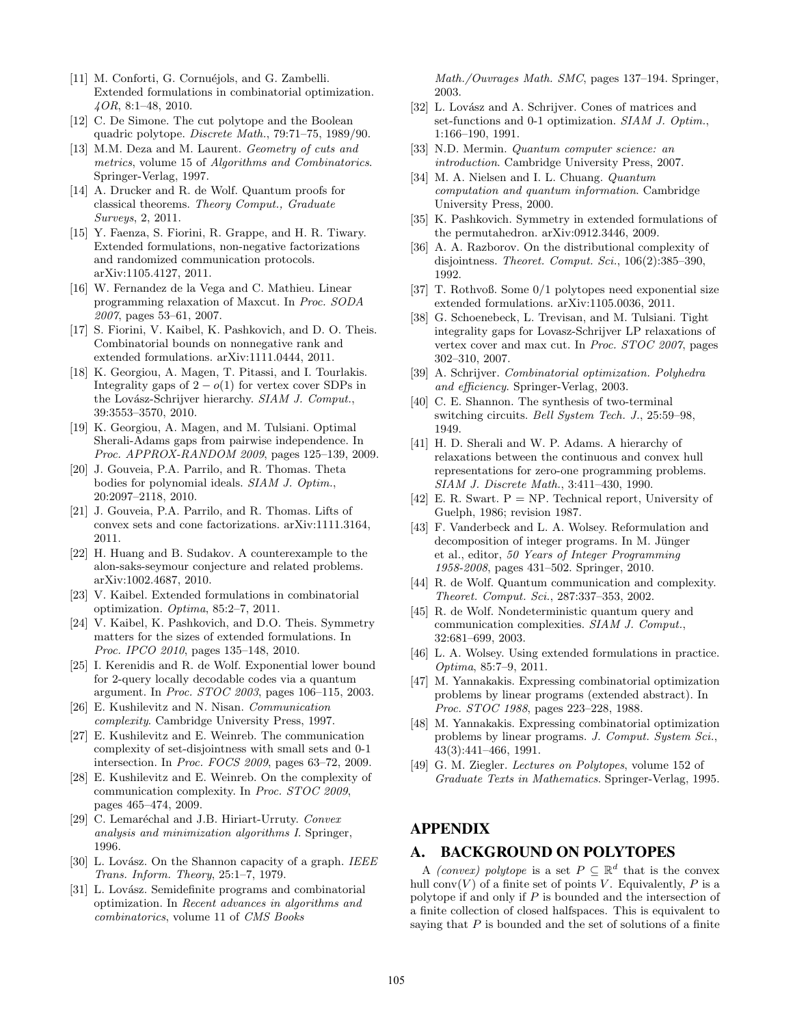- [11] M. Conforti, G. Cornuéjols, and G. Zambelli. Extended formulations in combinatorial optimization. *4OR*, 8:1–48, 2010.
- [12] C. De Simone. The cut polytope and the Boolean quadric polytope. *Discrete Math.*, 79:71–75, 1989/90.
- [13] M.M. Deza and M. Laurent. *Geometry of cuts and metrics*, volume 15 of *Algorithms and Combinatorics*. Springer-Verlag, 1997.
- [14] A. Drucker and R. de Wolf. Quantum proofs for classical theorems. *Theory Comput., Graduate Surveys*, 2, 2011.
- [15] Y. Faenza, S. Fiorini, R. Grappe, and H. R. Tiwary. Extended formulations, non-negative factorizations and randomized communication protocols. arXiv:1105.4127, 2011.
- [16] W. Fernandez de la Vega and C. Mathieu. Linear programming relaxation of Maxcut. In *Proc. SODA 2007*, pages 53–61, 2007.
- [17] S. Fiorini, V. Kaibel, K. Pashkovich, and D. O. Theis. Combinatorial bounds on nonnegative rank and extended formulations. arXiv:1111.0444, 2011.
- [18] K. Georgiou, A. Magen, T. Pitassi, and I. Tourlakis. Integrality gaps of  $2 - o(1)$  for vertex cover SDPs in the Lovász-Schrijver hierarchy. *SIAM J. Comput.*, 39:3553–3570, 2010.
- [19] K. Georgiou, A. Magen, and M. Tulsiani. Optimal Sherali-Adams gaps from pairwise independence. In *Proc. APPROX-RANDOM 2009*, pages 125–139, 2009.
- [20] J. Gouveia, P.A. Parrilo, and R. Thomas. Theta bodies for polynomial ideals. *SIAM J. Optim.*, 20:2097–2118, 2010.
- [21] J. Gouveia, P.A. Parrilo, and R. Thomas. Lifts of convex sets and cone factorizations. arXiv:1111.3164, 2011.
- [22] H. Huang and B. Sudakov. A counterexample to the alon-saks-seymour conjecture and related problems. arXiv:1002.4687, 2010.
- [23] V. Kaibel. Extended formulations in combinatorial optimization. *Optima*, 85:2–7, 2011.
- [24] V. Kaibel, K. Pashkovich, and D.O. Theis. Symmetry matters for the sizes of extended formulations. In *Proc. IPCO 2010*, pages 135–148, 2010.
- [25] I. Kerenidis and R. de Wolf. Exponential lower bound for 2-query locally decodable codes via a quantum argument. In *Proc. STOC 2003*, pages 106–115, 2003.
- [26] E. Kushilevitz and N. Nisan. *Communication complexity*. Cambridge University Press, 1997.
- [27] E. Kushilevitz and E. Weinreb. The communication complexity of set-disjointness with small sets and 0-1 intersection. In *Proc. FOCS 2009*, pages 63–72, 2009.
- [28] E. Kushilevitz and E. Weinreb. On the complexity of communication complexity. In *Proc. STOC 2009*, pages 465–474, 2009.
- [29] C. Lemaréchal and J.B. Hiriart-Urruty. *Convex analysis and minimization algorithms I*. Springer, 1996.
- [30] L. Lovász. On the Shannon capacity of a graph. *IEEE Trans. Inform. Theory*, 25:1–7, 1979.
- [31] L. Lovász. Semidefinite programs and combinatorial optimization. In *Recent advances in algorithms and combinatorics*, volume 11 of *CMS Books*

*Math./Ouvrages Math. SMC*, pages 137–194. Springer, 2003.

- [32] L. Lovász and A. Schrijver. Cones of matrices and set-functions and 0-1 optimization. *SIAM J. Optim.*, 1:166–190, 1991.
- [33] N.D. Mermin. *Quantum computer science: an introduction*. Cambridge University Press, 2007.
- [34] M. A. Nielsen and I. L. Chuang. *Quantum computation and quantum information*. Cambridge University Press, 2000.
- [35] K. Pashkovich. Symmetry in extended formulations of the permutahedron. arXiv:0912.3446, 2009.
- [36] A. A. Razborov. On the distributional complexity of disjointness. *Theoret. Comput. Sci.*, 106(2):385–390, 1992.
- [37] T. Rothvoß. Some 0/1 polytopes need exponential size extended formulations. arXiv:1105.0036, 2011.
- [38] G. Schoenebeck, L. Trevisan, and M. Tulsiani. Tight integrality gaps for Lovasz-Schrijver LP relaxations of vertex cover and max cut. In *Proc. STOC 2007*, pages 302–310, 2007.
- [39] A. Schrijver. *Combinatorial optimization. Polyhedra and efficiency*. Springer-Verlag, 2003.
- [40] C. E. Shannon. The synthesis of two-terminal switching circuits. *Bell System Tech. J.*, 25:59–98, 1949.
- [41] H. D. Sherali and W. P. Adams. A hierarchy of relaxations between the continuous and convex hull representations for zero-one programming problems. *SIAM J. Discrete Math.*, 3:411–430, 1990.
- [42] E. R. Swart.  $P = NP$ . Technical report, University of Guelph, 1986; revision 1987.
- [43] F. Vanderbeck and L. A. Wolsey. Reformulation and decomposition of integer programs. In M. Jünger et al., editor, *50 Years of Integer Programming 1958-2008*, pages 431–502. Springer, 2010.
- [44] R. de Wolf. Quantum communication and complexity. *Theoret. Comput. Sci.*, 287:337–353, 2002.
- [45] R. de Wolf. Nondeterministic quantum query and communication complexities. *SIAM J. Comput.*, 32:681–699, 2003.
- [46] L. A. Wolsey. Using extended formulations in practice. *Optima*, 85:7–9, 2011.
- [47] M. Yannakakis. Expressing combinatorial optimization problems by linear programs (extended abstract). In *Proc. STOC 1988*, pages 223–228, 1988.
- [48] M. Yannakakis. Expressing combinatorial optimization problems by linear programs. *J. Comput. System Sci.*, 43(3):441–466, 1991.
- [49] G. M. Ziegler. *Lectures on Polytopes*, volume 152 of *Graduate Texts in Mathematics*. Springer-Verlag, 1995.

# APPENDIX

## A. BACKGROUND ON POLYTOPES

A *(convex)* polytope is a set  $P \subseteq \mathbb{R}^d$  that is the convex hull conv $(V)$  of a finite set of points *V*. Equivalently, *P* is a polytope if and only if *P* is bounded and the intersection of a finite collection of closed halfspaces. This is equivalent to saying that *P* is bounded and the set of solutions of a finite